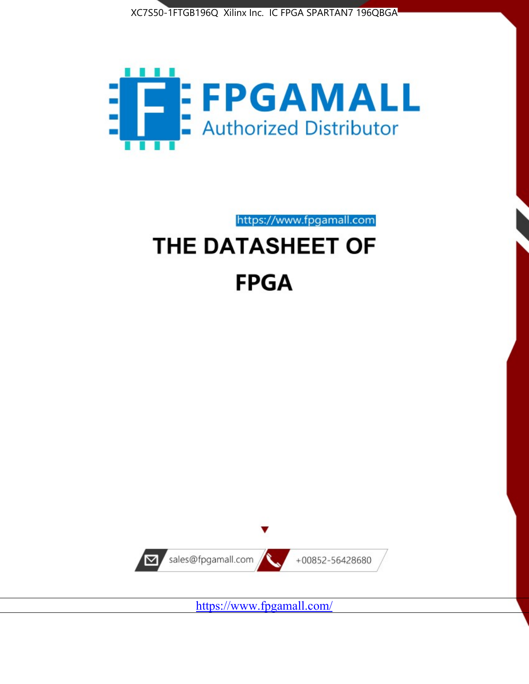



https://www.fpgamall.com

# THE DATASHEET OF **FPGA**



<https://www.fpgamall.com/>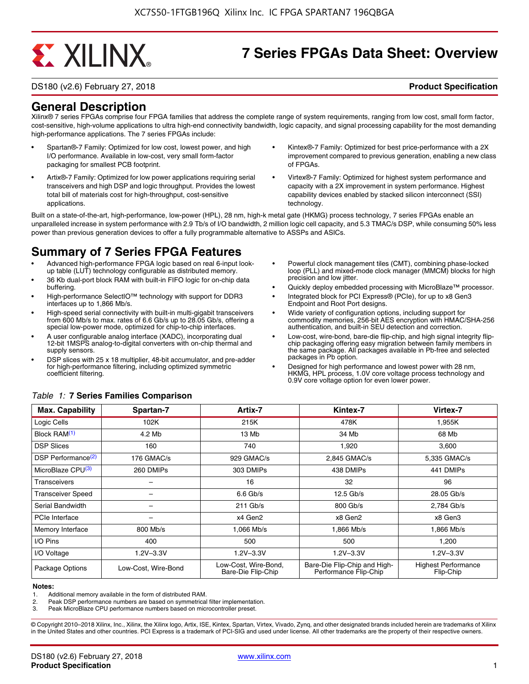# **EXALINX**

# **7 Series FPGAs Data Sheet: Overview**

DS180 (v2.6) February 27, 2018 **Product Specification**

### **General Description**

Xilinx® 7 series FPGAs comprise four FPGA families that address the complete range of system requirements, ranging from low cost, small form factor, cost-sensitive, high-volume applications to ultra high-end connectivity bandwidth, logic capacity, and signal processing capability for the most demanding high-performance applications. The 7 series FPGAs include:

- Spartan®-7 Family: Optimized for low cost, lowest power, and high I/O performance. Available in low-cost, very small form-factor packaging for smallest PCB footprint.
- Artix®-7 Family: Optimized for low power applications requiring serial transceivers and high DSP and logic throughput. Provides the lowest total bill of materials cost for high-throughput, cost-sensitive applications.
- Kintex®-7 Family: Optimized for best price-performance with a 2X improvement compared to previous generation, enabling a new class of FPGAs.
- Virtex®-7 Family: Optimized for highest system performance and capacity with a 2X improvement in system performance. Highest capability devices enabled by stacked silicon interconnect (SSI) technology

Built on a state-of-the-art, high-performance, low-power (HPL), 28 nm, high-k metal gate (HKMG) process technology, 7 series FPGAs enable an unparalleled increase in system performance with 2.9 Tb/s of I/O bandwidth, 2 million logic cell capacity, and 5.3 TMAC/s DSP, while consuming 50% less power than previous generation devices to offer a fully programmable alternative to ASSPs and ASICs.

### **Summary of 7 Series FPGA Features**

- Advanced high-performance FPGA logic based on real 6-input lookup table (LUT) technology configurable as distributed memory.
- 36 Kb dual-port block RAM with built-in FIFO logic for on-chip data buffering.
- High-performance SelectIO™ technology with support for DDR3 interfaces up to 1,866 Mb/s.
- High-speed serial connectivity with built-in multi-gigabit transceivers from 600 Mb/s to max. rates of 6.6 Gb/s up to 28.05 Gb/s, offering a special low-power mode, optimized for chip-to-chip interfaces.
- A user configurable analog interface (XADC), incorporating dual 12-bit 1MSPS analog-to-digital converters with on-chip thermal and supply sensors.
- DSP slices with 25 x 18 multiplier, 48-bit accumulator, and pre-adder for high-performance filtering, including optimized symmetric coefficient filtering.
- Powerful clock management tiles (CMT), combining phase-locked loop (PLL) and mixed-mode clock manager (MMCM) blocks for high precision and low jitter.
- Quickly deploy embedded processing with MicroBlaze<sup>™</sup> processor.
- Integrated block for PCI Express® (PCIe), for up to x8 Gen3 Endpoint and Root Port designs.
- Wide variety of configuration options, including support for commodity memories, 256-bit AES encryption with HMAC/SHA-256 authentication, and built-in SEU detection and correction.
- Low-cost, wire-bond, bare-die flip-chip, and high signal integrity flipchip packaging offering easy migration between family members in the same package. All packages available in Pb-free and selected packages in Pb option.
- Designed for high performance and lowest power with 28 nm, HKMG, HPL process, 1.0V core voltage process technology and 0.9V core voltage option for even lower power.

| <b>Max. Capability</b>         | Spartan-7           | Artix-7                                    | Kintex-7                                              | Virtex-7                                |
|--------------------------------|---------------------|--------------------------------------------|-------------------------------------------------------|-----------------------------------------|
| Logic Cells                    | 102K                | 215K                                       | 478K                                                  | 1,955K                                  |
| Block RAM <sup>(1)</sup>       | 4.2 Mb              | 13 Mb                                      | 34 Mb                                                 | 68 Mb                                   |
| <b>DSP Slices</b>              | 160                 | 740                                        | 1,920                                                 | 3,600                                   |
| DSP Performance <sup>(2)</sup> | 176 GMAC/s          | 929 GMAC/s                                 | 2,845 GMAC/s                                          | 5,335 GMAC/s                            |
| MicroBlaze CPU <sup>(3)</sup>  | 260 DMIPs           | 303 DMIPs                                  | 438 DMIPs                                             | 441 DMIPs                               |
| Transceivers                   |                     | 16                                         | 32                                                    | 96                                      |
| <b>Transceiver Speed</b>       |                     | $6.6$ Gb/s                                 | $12.5$ Gb/s                                           | 28.05 Gb/s                              |
| Serial Bandwidth               |                     | $211$ Gb/s                                 | 800 Gb/s                                              | 2,784 Gb/s                              |
| PCIe Interface                 | -                   | x4 Gen2                                    | x8 Gen2                                               | x8 Gen3                                 |
| Memory Interface               | 800 Mb/s            | 1.066 Mb/s                                 | 1.866 Mb/s                                            | 1.866 Mb/s                              |
| I/O Pins                       | 400                 | 500                                        | 500                                                   | 1,200                                   |
| I/O Voltage                    | $1.2V - 3.3V$       | $1.2V - 3.3V$                              | $1.2V - 3.3V$                                         | $1.2V - 3.3V$                           |
| Package Options                | Low-Cost, Wire-Bond | Low-Cost, Wire-Bond,<br>Bare-Die Flip-Chip | Bare-Die Flip-Chip and High-<br>Performance Flip-Chip | <b>Highest Performance</b><br>Flip-Chip |

#### *Table 1:* **7 Series Families Comparison**

#### **Notes:**

1. Additional memory available in the form of distributed RAM.

2. Peak DSP performance numbers are based on symmetrical filter implementation.<br>3. Peak MicroBlaze CPU performance numbers based on microcontroller preset.

Peak MicroBlaze CPU performance numbers based on microcontroller preset.

© Copyright 2010–2018 Xilinx, Inc., Xilinx, the Xilinx logo, Artix, ISE, Kintex, Spartan, Virtex, Vivado, Zynq, and other designated brands included herein are trademarks of Xilinx in the United States and other countries. PCI Express is a trademark of PCI-SIG and used under license. All other trademarks are the property of their respective owners.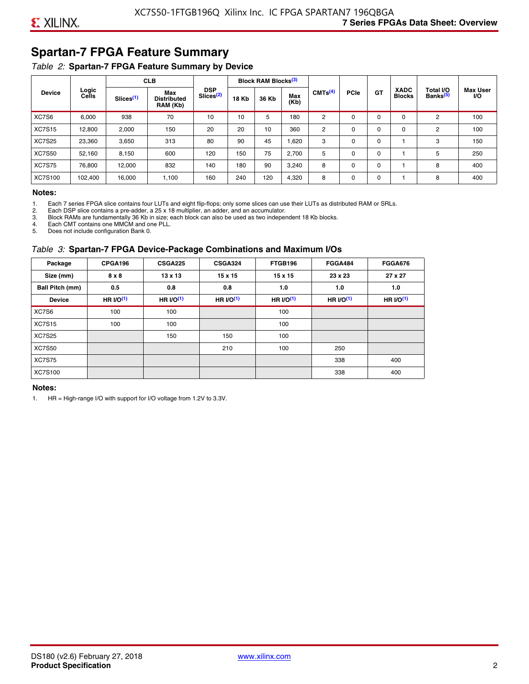## **Spartan-7 FPGA Feature Summary**

### *Table 2:* **Spartan-7 FPGA Feature Summary by Device**

|               |                |                       | <b>CLB</b>                            |                                     |              | <b>Block RAM Blocks</b> <sup>(3)</sup> |             |                     |             |           |                              |                                   |                              |
|---------------|----------------|-----------------------|---------------------------------------|-------------------------------------|--------------|----------------------------------------|-------------|---------------------|-------------|-----------|------------------------------|-----------------------------------|------------------------------|
| <b>Device</b> | Logic<br>Cells | Slices <sup>(1)</sup> | Max<br><b>Distributed</b><br>RAM (Kb) | <b>DSP</b><br>Slices <sup>(2)</sup> | <b>18 Kb</b> | 36 Kb                                  | Max<br>(Kb) | CMTS <sup>(4)</sup> | <b>PCIe</b> | <b>GT</b> | <b>XADC</b><br><b>Blocks</b> | Total I/O<br>Banks <sup>(5)</sup> | <b>Max User</b><br><b>VO</b> |
| XC7S6         | 6,000          | 938                   | 70                                    | 10                                  | 10           | 5                                      | 180         | 2                   | $\Omega$    | 0         | 0                            | 2                                 | 100                          |
| <b>XC7S15</b> | 12,800         | 2,000                 | 150                                   | 20                                  | 20           | 10                                     | 360         | 2                   | $\Omega$    | 0         | 0                            | 2                                 | 100                          |
| <b>XC7S25</b> | 23,360         | 3,650                 | 313                                   | 80                                  | 90           | 45                                     | 1,620       | 3                   | $\Omega$    | 0         |                              | 3                                 | 150                          |
| <b>XC7S50</b> | 52,160         | 8,150                 | 600                                   | 120                                 | 150          | 75                                     | 2,700       | 5                   | 0           | $\Omega$  |                              | 5                                 | 250                          |
| <b>XC7S75</b> | 76,800         | 12.000                | 832                                   | 140                                 | 180          | 90                                     | 3,240       | 8                   | $\Omega$    | 0         |                              | 8                                 | 400                          |
| XC7S100       | 102,400        | 16.000                | 1,100                                 | 160                                 | 240          | 120                                    | 4,320       | 8                   | 0           | 0         |                              | 8                                 | 400                          |

#### **Notes:**

1. Each 7 series FPGA slice contains four LUTs and eight flip-flops; only some slices can use their LUTs as distributed RAM or SRLs.<br>2. Each DSP slice contains a pre-adder. a 25 x 18 multiplier. an adder. and an accumulato

2. Each DSP slice contains a pre-adder, a 25 x 18 multiplier, an adder, and an accumulator. 3. Block RAMs are fundamentally 36 Kb in size; each block can also be used as two independent 18 Kb blocks.

4. Each CMT contains one MMCM and one PLL.

5. Does not include configuration Bank 0.

#### *Table 3:* **Spartan-7 FPGA Device-Package Combinations and Maximum I/Os**

| Package         | CPGA196    | <b>CSGA225</b> | <b>CSGA324</b> | FTGB196    | <b>FGGA484</b> | <b>FGGA676</b> |
|-----------------|------------|----------------|----------------|------------|----------------|----------------|
| Size (mm)       | 8 x 8      | 13 x 13        | $15 \times 15$ | 15 x 15    | 23 x 23        | 27 x 27        |
| Ball Pitch (mm) | 0.5        | 0.8            | 0.8            | 1.0        | 1.0            | 1.0            |
| <b>Device</b>   | HR $UO(1)$ | HR $UO(1)$     | HR $UO(1)$     | HR $UO(1)$ | HR $UO(1)$     | HR $l/O(1)$    |
| XC7S6           | 100        | 100            |                | 100        |                |                |
| <b>XC7S15</b>   | 100        | 100            |                | 100        |                |                |
| <b>XC7S25</b>   |            | 150            | 150            | 100        |                |                |
| <b>XC7S50</b>   |            |                | 210            | 100        | 250            |                |
| <b>XC7S75</b>   |            |                |                |            | 338            | 400            |
| <b>XC7S100</b>  |            |                |                |            | 338            | 400            |

#### **Notes:**

1. HR = High-range I/O with support for I/O voltage from 1.2V to 3.3V.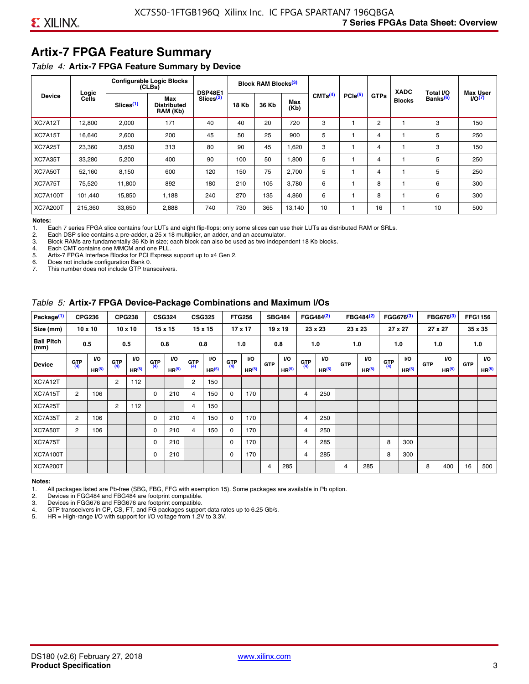# **Artix-7 FPGA Feature Summary**

#### *Table 4:* **Artix-7 FPGA Feature Summary by Device**

|                 |                |                       | <b>Configurable Logic Blocks</b><br>(CLBs) | <b>DSP48E1</b>        |              | Block RAM Blocks <sup>(3)</sup> |             |                     |                     |             | <b>XADC</b>   | Total I/O            | Max User |
|-----------------|----------------|-----------------------|--------------------------------------------|-----------------------|--------------|---------------------------------|-------------|---------------------|---------------------|-------------|---------------|----------------------|----------|
| <b>Device</b>   | Logic<br>Cells | Slices <sup>(1)</sup> | Max<br><b>Distributed</b><br>RAM (Kb)      | Slices <sup>(2)</sup> | <b>18 Kb</b> | 36 Kb                           | Max<br>(Kb) | CMTS <sup>(4)</sup> | PCle <sup>(5)</sup> | <b>GTPs</b> | <b>Blocks</b> | Banks <sup>(6)</sup> | 1/O(7)   |
| XC7A12T         | 12,800         | 2,000                 | 171                                        | 40                    | 40           | 20                              | 720         | 3                   |                     | 2           |               | 3                    | 150      |
| XC7A15T         | 16,640         | 2,600                 | 200                                        | 45                    | 50           | 25                              | 900         | 5                   |                     | 4           |               | 5                    | 250      |
| XC7A25T         | 23,360         | 3,650                 | 313                                        | 80                    | 90           | 45                              | .620        | 3                   |                     | 4           |               | 3                    | 150      |
| XC7A35T         | 33,280         | 5,200                 | 400                                        | 90                    | 100          | 50                              | .800        | 5                   |                     | 4           |               | 5                    | 250      |
| XC7A50T         | 52,160         | 8,150                 | 600                                        | 120                   | 150          | 75                              | 2,700       | 5                   |                     | 4           |               | 5                    | 250      |
| XC7A75T         | 75,520         | 11,800                | 892                                        | 180                   | 210          | 105                             | 3,780       | 6                   |                     | 8           |               | 6                    | 300      |
| <b>XC7A100T</b> | 101.440        | 15,850                | 1.188                                      | 240                   | 270          | 135                             | 4,860       | 6                   |                     | 8           |               | 6                    | 300      |
| <b>XC7A200T</b> | 215,360        | 33,650                | 2,888                                      | 740                   | 730          | 365                             | 13,140      | 10                  |                     | 16          |               | 10                   | 500      |

**Notes:**  Each 7 series FPGA slice contains four LUTs and eight flip-flops; only some slices can use their LUTs as distributed RAM or SRLs.

2. Each DSP slice contains a pre-adder, a 25 x 18 multiplier, an adder, and an accumulator.

3. Block RAMs are fundamentally 36 Kb in size; each block can also be used as two independent 18 Kb blocks.

4. Each CMT contains one MMCM and one PLL.<br>5. Artix-7 FPGA Interface Blocks for PCI Express

5. Artix-7 FPGA Interface Blocks for PCI Express support up to x4 Gen 2.<br>6. Does not include configuration Bank 0.

6. Does not include configuration Bank 0.

This number does not include GTP transceivers.

#### *Table 5:* **Artix-7 FPGA Device-Package Combinations and Maximum I/Os**

| Package <sup>(1)</sup>    |            | <b>CPG236</b>     |                | <b>CPG238</b>  |            | <b>CSG324</b> |                | <b>CSG325</b>     |       | <b>FTG256</b>     |            | <b>SBG484</b>     |                | FGG484 <sup>(2)</sup> |                | FBG484 <sup>(2)</sup> |       | FGG676 <sup>(3)</sup> |            | FBG676 <sup>(3)</sup> |            | <b>FFG1156</b> |
|---------------------------|------------|-------------------|----------------|----------------|------------|---------------|----------------|-------------------|-------|-------------------|------------|-------------------|----------------|-----------------------|----------------|-----------------------|-------|-----------------------|------------|-----------------------|------------|----------------|
| Size (mm)                 |            | $10 \times 10$    |                | $10 \times 10$ |            | 15 x 15       |                | 15 x 15           |       | $17 \times 17$    |            | $19 \times 19$    |                | 23 x 23               |                | 23 x 23               |       | 27 x 27               |            | 27 x 27               |            | 35 x 35        |
| <b>Ball Pitch</b><br>(mm) |            | 0.5               |                | 0.5            |            | 0.8           | 0.8            |                   |       | 1.0               |            | 0.8               |                | 1.0                   |                | 1.0                   |       | 1.0                   |            | 1.0                   |            | 1.0            |
| <b>Device</b>             | <b>GTP</b> | <b>VO</b>         | <b>GTP</b>     | <b>VO</b>      | <b>GTP</b> | <b>VO</b>     | <b>GTP</b>     | <b>VO</b>         | G(TP) | VO.               | <b>GTP</b> | VO.               | G(TP)          | <b>VO</b>             | <b>GTP</b>     | <b>VO</b>             | G(TP) | <b>VO</b>             | <b>GTP</b> | <b>VO</b>             | <b>GTP</b> | <b>VO</b>      |
|                           | (4)        | HR <sup>(5)</sup> | (4)            | HR(5)          | (4)        | HP(5)         | (4)            | HR <sup>(5)</sup> |       | HR <sup>(5)</sup> |            | HR <sup>(5)</sup> |                | HR <sup>(5)</sup>     |                | HR <sup>(5)</sup>     |       | HR <sup>(5)</sup>     |            | HR <sup>(5)</sup>     |            | HR(5)          |
| XC7A12T                   |            |                   | $\overline{2}$ | 112            |            |               | $\overline{2}$ | 150               |       |                   |            |                   |                |                       |                |                       |       |                       |            |                       |            |                |
| XC7A15T                   | 2          | 106               |                |                | 0          | 210           | 4              | 150               | 0     | 170               |            |                   | $\overline{4}$ | 250                   |                |                       |       |                       |            |                       |            |                |
| XC7A25T                   |            |                   | 2              | 112            |            |               | 4              | 150               |       |                   |            |                   |                |                       |                |                       |       |                       |            |                       |            |                |
| XC7A35T                   | 2          | 106               |                |                | 0          | 210           | 4              | 150               | 0     | 170               |            |                   | 4              | 250                   |                |                       |       |                       |            |                       |            |                |
| XC7A50T                   | 2          | 106               |                |                | 0          | 210           | 4              | 150               | 0     | 170               |            |                   | 4              | 250                   |                |                       |       |                       |            |                       |            |                |
| XC7A75T                   |            |                   |                |                | 0          | 210           |                |                   | 0     | 170               |            |                   | 4              | 285                   |                |                       | 8     | 300                   |            |                       |            |                |
| <b>XC7A100T</b>           |            |                   |                |                | 0          | 210           |                |                   | 0     | 170               |            |                   | $\overline{4}$ | 285                   |                |                       | 8     | 300                   |            |                       |            |                |
| <b>XC7A200T</b>           |            |                   |                |                |            |               |                |                   |       |                   | 4          | 285               |                |                       | $\overline{4}$ | 285                   |       |                       | 8          | 400                   | 16         | 500            |

#### **Notes:**

1. All packages listed are Pb-free (SBG, FBG, FFG with exemption 15). Some packages are available in Pb option.

2. Devices in FGG484 and FBG484 are footprint compatible.

3. Devices in FGG676 and FBG676 are footprint compatible.

4. GTP transceivers in CP, CS, FT, and FG packages support data rates up to 6.25 Gb/s.<br>5. HR = High-range I/O with support for I/O voltage from 1.2V to 3.3V.

HR = High-range I/O with support for I/O voltage from 1.2V to 3.3V.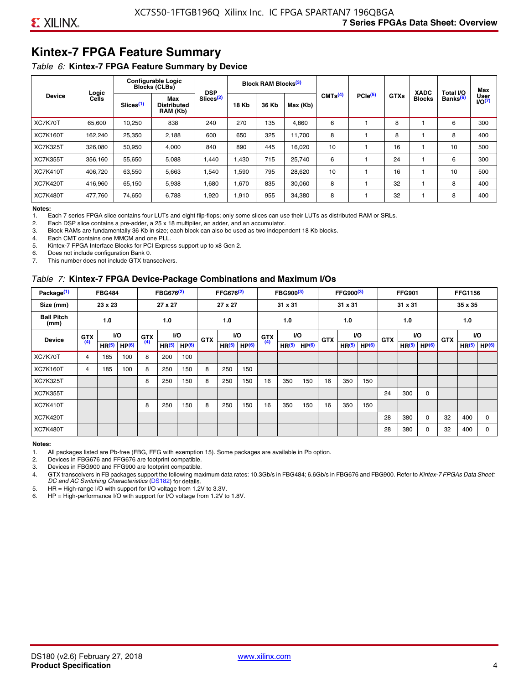# **Kintex-7 FPGA Feature Summary**

#### *Table 6:* **Kintex-7 FPGA Feature Summary by Device**

|                 |                |                       | <b>Configurable Logic</b><br><b>Blocks (CLBs)</b> | <b>DSP</b>            |                              | <b>Block RAM Blocks</b> <sup>(3)</sup> |          |                     |              |             | <b>XADC</b>   | Total I/O            | Max                 |
|-----------------|----------------|-----------------------|---------------------------------------------------|-----------------------|------------------------------|----------------------------------------|----------|---------------------|--------------|-------------|---------------|----------------------|---------------------|
| <b>Device</b>   | Logic<br>Cells | Slices <sup>(1)</sup> | Max<br><b>Distributed</b><br>RAM (Kb)             | Slices <sup>(2)</sup> | 18 Kb<br>36 Kb<br>270<br>135 |                                        | Max (Kb) | CMTS <sup>(4)</sup> | $PCle^{(5)}$ | <b>GTXs</b> | <b>Blocks</b> | Banks <sup>(6)</sup> | User<br>$U$ O $(7)$ |
| XC7K70T         | 65,600         | 10,250                | 838                                               | 240                   |                              |                                        | 4,860    | 6                   |              | 8           |               | 6                    | 300                 |
| <b>XC7K160T</b> | 162,240        | 25,350                | 2,188                                             | 600                   | 650                          | 325                                    | 11,700   | 8                   |              | 8           |               | 8                    | 400                 |
| <b>XC7K325T</b> | 326.080        | 50.950                | 4,000                                             | 840                   | 890                          | 445                                    | 16,020   | 10                  |              | 16          |               | 10                   | 500                 |
| <b>XC7K355T</b> | 356.160        | 55,650                | 5,088                                             | 1,440                 | 1.430                        | 715                                    | 25,740   | 6                   |              | 24          |               | 6                    | 300                 |
| <b>XC7K410T</b> | 406,720        | 63,550                | 5,663                                             | 1,540                 | 1,590                        | 795                                    | 28,620   | 10                  |              | 16          |               | 10                   | 500                 |
| <b>XC7K420T</b> | 416,960        | 65,150                | 5,938                                             | 1,680                 | 1,670                        | 835                                    | 30,060   | 8                   |              | 32          |               | 8                    | 400                 |
| <b>XC7K480T</b> | 477.760        | 74,650                | 6,788                                             | 1,920                 | 1,910                        | 955                                    | 34,380   | 8                   |              | 32          |               | 8                    | 400                 |

#### **Notes:**

1. Each 7 series FPGA slice contains four LUTs and eight flip-flops; only some slices can use their LUTs as distributed RAM or SRLs.<br>2. Each DSP slice contains a pre-adder, a 25 x 18 multiplier, an adder, and an accumulato

Each DSP slice contains a pre-adder, a 25 x 18 multiplier, an adder, and an accumulator.

3. Block RAMs are fundamentally 36 Kb in size; each block can also be used as two independent 18 Kb blocks.

4. Each CMT contains one MMCM and one PLL.

5. Kintex-7 FPGA Interface Blocks for PCI Express support up to x8 Gen 2.

6. Does not include configuration Bank 0.

7. This number does not include GTX transceivers.

#### *Table 7:* **Kintex-7 FPGA Device-Package Combinations and Maximum I/Os**

| Package <sup>(1)</sup>    |            | <b>FBG484</b>     |                   |            | FBG676 <sup>(2)</sup> |                   |            | FFG676 <sup>(2)</sup> |                   |            | FBG900 <sup>(3)</sup> |                   |            | FFG900 <sup>(3)</sup> |                   |            | <b>FFG901</b>     |                   |            | <b>FFG1156</b>    |                   |
|---------------------------|------------|-------------------|-------------------|------------|-----------------------|-------------------|------------|-----------------------|-------------------|------------|-----------------------|-------------------|------------|-----------------------|-------------------|------------|-------------------|-------------------|------------|-------------------|-------------------|
| Size (mm)                 |            | 23 x 23           |                   |            | 27 x 27               |                   |            | 27 x 27               |                   |            | 31 x 31               |                   |            | 31 x 31               |                   |            | 31 x 31           |                   |            | 35 x 35           |                   |
| <b>Ball Pitch</b><br>(mm) |            | 1.0               |                   |            | 1.0                   |                   |            | 1.0                   |                   |            | 1.0                   |                   |            | 1.0                   |                   |            | 1.0               |                   |            | 1.0               |                   |
| <b>Device</b>             | <b>GTX</b> |                   | VO.               | <b>GTX</b> | <b>VO</b>             |                   | <b>GTX</b> |                       | <b>VO</b>         | <b>GTX</b> |                       | <b>VO</b>         | <b>GTX</b> | <b>VO</b>             |                   | <b>GTX</b> |                   | VO                | <b>GTX</b> | <b>VO</b>         |                   |
|                           | (4)        | HR <sup>(5)</sup> | HP <sup>(6)</sup> | (4)        | HR <sup>(5)</sup>     | HP <sup>(6)</sup> |            | HR <sup>(5)</sup>     | HP <sup>(6)</sup> | (4)        | HR <sup>(5)</sup>     | HP <sup>(6)</sup> |            | HR <sup>(5)</sup>     | HP <sup>(6)</sup> |            | HR <sup>(5)</sup> | HP <sup>(6)</sup> |            | HR <sup>(5)</sup> | HP <sup>(6)</sup> |
| XC7K70T                   | 4          | 185               | 100               | 8          | 200                   | 100               |            |                       |                   |            |                       |                   |            |                       |                   |            |                   |                   |            |                   |                   |
| <b>XC7K160T</b>           | 4          | 185               | 100               | 8          | 250                   | 150               | 8          | 250                   | 150               |            |                       |                   |            |                       |                   |            |                   |                   |            |                   |                   |
| <b>XC7K325T</b>           |            |                   |                   | 8          | 250                   | 150               | 8          | 250                   | 150               | 16         | 350                   | 150               | 16         | 350                   | 150               |            |                   |                   |            |                   |                   |
| <b>XC7K355T</b>           |            |                   |                   |            |                       |                   |            |                       |                   |            |                       |                   |            |                       |                   | 24         | 300               | 0                 |            |                   |                   |
| <b>XC7K410T</b>           |            |                   |                   | 8          | 250                   | 150               | 8          | 250                   | 150               | 16         | 350                   | 150               | 16         | 350                   | 150               |            |                   |                   |            |                   |                   |
| <b>XC7K420T</b>           |            |                   |                   |            |                       |                   |            |                       |                   |            |                       |                   |            |                       |                   | 28         | 380               | $\Omega$          | 32         | 400               | $\Omega$          |
| <b>XC7K480T</b>           |            |                   |                   |            |                       |                   |            |                       |                   |            |                       |                   |            |                       |                   | 28         | 380               | 0                 | 32         | 400               | $\Omega$          |

#### **Notes:**

1. All packages listed are Pb-free (FBG, FFG with exemption 15). Some packages are available in Pb option.

2. Devices in FBG676 and FFG676 are footprint compatible.

3. Devices in FBG900 and FFG900 are footprint compatible. 4. GTX transceivers in FB packages support the following maximum data rates: 10.3Gb/s in FBG484; 6.6Gb/s in FBG676 and FBG900. Refer to *Kintex-7 FPGAs Data Sheet: DC and AC Switching Characteristics* [\(DS182](https://www.xilinx.com/support/documentation/data_sheets/ds182_Kintex_7_Data_Sheet.pdf)) for details.

5. HR = High-range I/O with support for I/O voltage from 1.2V to 3.3V.

6. HP = High-performance I/O with support for I/O voltage from 1.2V to 1.8V.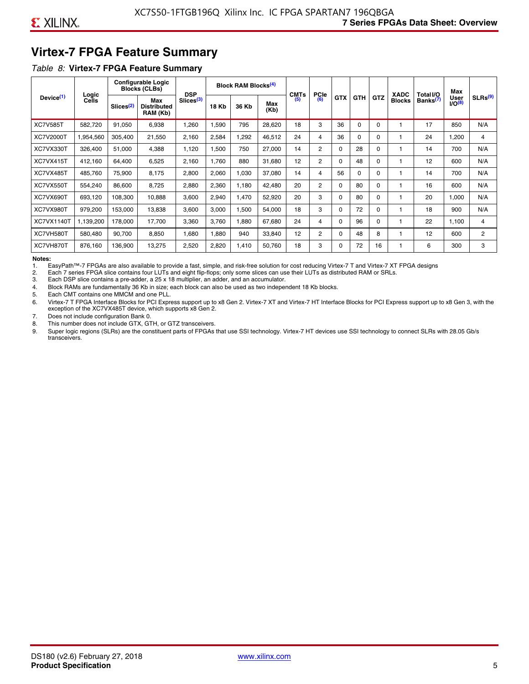# **Virtex-7 FPGA Feature Summary**

#### *Table 8:* **Virtex-7 FPGA Feature Summary**

|                       |                       |                       | <b>Configurable Logic</b><br><b>Blocks (CLBs)</b> | <b>DSP</b>            |       | <b>Block RAM Blocks<sup>(4)</sup></b> |             | <b>CMTs</b> | <b>PCIe</b>    |            |            |            | <b>XADC</b>   | Total I/O            | Max                        |                     |
|-----------------------|-----------------------|-----------------------|---------------------------------------------------|-----------------------|-------|---------------------------------------|-------------|-------------|----------------|------------|------------|------------|---------------|----------------------|----------------------------|---------------------|
| Device <sup>(1)</sup> | Logic<br><b>Cells</b> | Slices <sup>(2)</sup> | Max<br><b>Distributed</b><br>RAM (Kb)             | Slices <sup>(3)</sup> | 18 Kb | 36 Kb                                 | Max<br>(Kb) | (5)         | (6)            | <b>GTX</b> | <b>GTH</b> | <b>GTZ</b> | <b>Blocks</b> | Banks <sup>(7)</sup> | <b>User</b><br>$1/O^{(8)}$ | SLRs <sup>(9)</sup> |
| <b>XC7V585T</b>       | 582.720               | 91,050                | 6,938                                             | .260                  | .590  | 795                                   | 28,620      | 18          | 3              | 36         | 0          | $\Omega$   |               | 17                   | 850                        | N/A                 |
| <b>XC7V2000T</b>      | 1,954,560             | 305,400               | 21,550                                            | 2,160                 | 2,584 | ,292                                  | 46,512      | 24          | 4              | 36         | 0          | 0          |               | 24                   | .200                       | 4                   |
| XC7VX330T             | 326,400               | 51,000                | 4,388                                             | 1,120                 | .500  | 750                                   | 27,000      | 14          | $\overline{2}$ | 0          | 28         | 0          |               | 14                   | 700                        | N/A                 |
| XC7VX415T             | 412,160               | 64,400                | 6,525                                             | 2,160                 | 1,760 | 880                                   | 31,680      | 12          | $\overline{2}$ | $\Omega$   | 48         | $\Omega$   |               | 12                   | 600                        | N/A                 |
| XC7VX485T             | 485,760               | 75,900                | 8,175                                             | 2,800                 | 2,060 | 1,030                                 | 37,080      | 14          | 4              | 56         | $\Omega$   | 0          |               | 14                   | 700                        | N/A                 |
| XC7VX550T             | 554,240               | 86,600                | 8,725                                             | 2,880                 | 2,360 | 1,180                                 | 42,480      | 20          | 2              | 0          | 80         | 0          |               | 16                   | 600                        | N/A                 |
| XC7VX690T             | 693,120               | 108,300               | 10,888                                            | 3,600                 | 2,940 | 1,470                                 | 52,920      | 20          | 3              | 0          | 80         | 0          |               | 20                   | 1,000                      | N/A                 |
| XC7VX980T             | 979,200               | 153,000               | 13,838                                            | 3,600                 | 3,000 | 1,500                                 | 54,000      | 18          | 3              | 0          | 72         | 0          |               | 18                   | 900                        | N/A                 |
| <b>XC7VX1140T</b>     | 1,139,200             | 178,000               | 17.700                                            | 3,360                 | 3.760 | ,880                                  | 67,680      | 24          | 4              | 0          | 96         | 0          |               | 22                   | 1.100                      | 4                   |
| XC7VH580T             | 580,480               | 90,700                | 8,850                                             | <b>680</b>            | 1,880 | 940                                   | 33,840      | 12          | $\overline{2}$ | 0          | 48         | 8          |               | 12                   | 600                        | $\overline{c}$      |
| XC7VH870T             | 876,160               | 136,900               | 13,275                                            | 2,520                 | 2,820 | 1,410                                 | 50,760      | 18          | 3              | 0          | 72         | 16         |               | 6                    | 300                        | 3                   |

#### **Notes:**

1. EasyPath™-7 FPGAs are also available to provide a fast, simple, and risk-free solution for cost reducing Virtex-7 T and Virtex-7 XT FPGA designs

2. Each 7 series FPGA slice contains four LUTs and eight flip-flops; only some slices can use their LUTs as distributed RAM or SRLs.

Each DSP slice contains a pre-adder, a 25 x 18 multiplier, an adder, and an accumulator.

4. Block RAMs are fundamentally 36 Kb in size; each block can also be used as two independent 18 Kb blocks.

5. Each CMT contains one MMCM and one PLL.

6. Virtex-7 T FPGA Interface Blocks for PCI Express support up to x8 Gen 2. Virtex-7 XT and Virtex-7 HT Interface Blocks for PCI Express support up to x8 Gen 3, with the exception of the XC7VX485T device, which supports x8 Gen 2.

7. Does not include configuration Bank 0.

8. This number does not include GTX, GTH, or GTZ transceivers.

9. Super logic regions (SLRs) are the constituent parts of FPGAs that use SSI technology. Virtex-7 HT devices use SSI technology to connect SLRs with 28.05 Gb/s transceivers.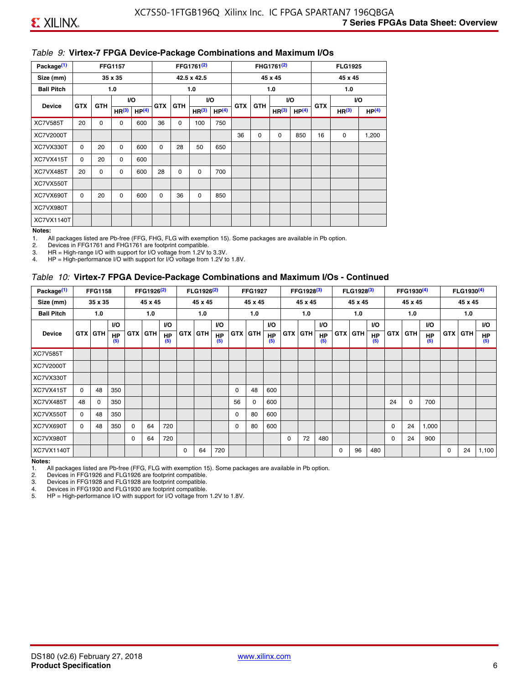#### *Table 9:* **Virtex-7 FPGA Device-Package Combinations and Maximum I/Os**

| Package <sup>(1)</sup> |            |            | <b>FFG1157</b>    |                   |            |            | FFG1761 <sup>(2)</sup> |                   |            |             | FHG1761 <sup>(2)</sup> |                   |            | <b>FLG1925</b>    |                   |
|------------------------|------------|------------|-------------------|-------------------|------------|------------|------------------------|-------------------|------------|-------------|------------------------|-------------------|------------|-------------------|-------------------|
| Size (mm)              |            |            | 35 x 35           |                   |            |            | 42.5 x 42.5            |                   |            |             | 45 x 45                |                   |            | 45 x 45           |                   |
| <b>Ball Pitch</b>      |            |            | 1.0               |                   |            |            | 1.0                    |                   |            |             | 1.0                    |                   |            | 1.0               |                   |
| <b>Device</b>          | <b>GTX</b> | <b>GTH</b> |                   | <b>VO</b>         | <b>GTX</b> | <b>GTH</b> |                        | I/O               | <b>GTX</b> | <b>GTH</b>  | VO.                    |                   | <b>GTX</b> |                   | VO.               |
|                        |            |            | HR <sup>(3)</sup> | HP <sup>(4)</sup> |            |            | HR <sup>(3)</sup>      | HP <sup>(4)</sup> |            |             | HR <sup>(3)</sup>      | HP <sup>(4)</sup> |            | HR <sup>(3)</sup> | HP <sup>(4)</sup> |
| <b>XC7V585T</b>        | 20         | 0          | 0                 | 600               | 36         | 0          | 100                    | 750               |            |             |                        |                   |            |                   |                   |
| <b>XC7V2000T</b>       |            |            |                   |                   |            |            |                        |                   | 36         | $\mathbf 0$ | 0                      | 850               | 16         | 0                 | 1,200             |
| XC7VX330T              | $\Omega$   | 20         | $\Omega$          | 600               | $\Omega$   | 28         | 50                     | 650               |            |             |                        |                   |            |                   |                   |
| XC7VX415T              | $\Omega$   | 20         | $\Omega$          | 600               |            |            |                        |                   |            |             |                        |                   |            |                   |                   |
| XC7VX485T              | 20         | 0          | 0                 | 600               | 28         | 0          | 0                      | 700               |            |             |                        |                   |            |                   |                   |
| XC7VX550T              |            |            |                   |                   |            |            |                        |                   |            |             |                        |                   |            |                   |                   |
| XC7VX690T              | $\Omega$   | 20         | $\Omega$          | 600               | $\Omega$   | 36         | $\Omega$               | 850               |            |             |                        |                   |            |                   |                   |
| XC7VX980T              |            |            |                   |                   |            |            |                        |                   |            |             |                        |                   |            |                   |                   |
| XC7VX1140T             |            |            |                   |                   |            |            |                        |                   |            |             |                        |                   |            |                   |                   |

#### **Notes:**

1. All packages listed are Pb-free (FFG, FHG, FLG with exemption 15). Some packages are available in Pb option.

2. Devices in FFG1761 and FHG1761 are footprint compatible.<br>3. HR = High-range I/O with support for I/O voltage from 1.2V to

HR = High-range I/O with support for I/O voltage from 1.2V to 3.3V.

4. HP = High-performance I/O with support for I/O voltage from 1.2V to 1.8V.

#### *Table 10:* **Virtex-7 FPGA Device-Package Combinations and Maximum I/Os - Continued**

| Package <sup>(1)</sup> |          | <b>FFG1158</b> |                  |            | FFG1926 <sup>(2)</sup> |                  |            | FLG1926 <sup>(2)</sup> |                  |    | <b>FFG1927</b> |                  |            | FFG1928 <sup>(3)</sup> |                  |            | FLG1928 <sup>(3)</sup> |                  |            | FFG1930 <sup>(4)</sup> |           |            | FLG1930 <sup>(4)</sup> |                  |
|------------------------|----------|----------------|------------------|------------|------------------------|------------------|------------|------------------------|------------------|----|----------------|------------------|------------|------------------------|------------------|------------|------------------------|------------------|------------|------------------------|-----------|------------|------------------------|------------------|
| Size (mm)              |          | 35 x 35        |                  |            | 45 x 45                |                  |            | 45 x 45                |                  |    | 45 x 45        |                  |            | 45 x 45                |                  |            | 45 x 45                |                  |            | 45 x 45                |           |            | 45 x 45                |                  |
| <b>Ball Pitch</b>      |          | 1.0            |                  |            | 1.0                    |                  |            | 1.0                    |                  |    | 1.0            |                  |            | 1.0                    |                  |            | 1.0                    |                  |            | 1.0                    |           |            | 1.0                    |                  |
|                        |          |                | <b>VO</b>        |            |                        | <b>VO</b>        |            |                        | VO.              |    |                | <b>VO</b>        |            |                        | <b>VO</b>        |            |                        | <b>VO</b>        |            |                        | <b>VO</b> |            |                        | <b>VO</b>        |
| <b>Device</b>          |          | <b>GTX GTH</b> | <b>HP</b><br>(5) | <b>GTX</b> | <b>GTH</b>             | <b>HP</b><br>(5) | <b>GTX</b> | <b>GTH</b>             | <b>HP</b><br>(5) |    | <b>GTX GTH</b> | <b>HP</b><br>(5) | <b>GTX</b> | <b>GTH</b>             | <b>HP</b><br>(5) | <b>GTX</b> | <b>GTH</b>             | <b>HP</b><br>(5) | <b>GTX</b> | GTH                    | HP<br>(5) | <b>GTX</b> | GTH                    | <b>HP</b><br>(5) |
| <b>XC7V585T</b>        |          |                |                  |            |                        |                  |            |                        |                  |    |                |                  |            |                        |                  |            |                        |                  |            |                        |           |            |                        |                  |
| <b>XC7V2000T</b>       |          |                |                  |            |                        |                  |            |                        |                  |    |                |                  |            |                        |                  |            |                        |                  |            |                        |           |            |                        |                  |
| XC7VX330T              |          |                |                  |            |                        |                  |            |                        |                  |    |                |                  |            |                        |                  |            |                        |                  |            |                        |           |            |                        |                  |
| XC7VX415T              | $\Omega$ | 48             | 350              |            |                        |                  |            |                        |                  | 0  | 48             | 600              |            |                        |                  |            |                        |                  |            |                        |           |            |                        |                  |
| XC7VX485T              | 48       | $\Omega$       | 350              |            |                        |                  |            |                        |                  | 56 | 0              | 600              |            |                        |                  |            |                        |                  | 24         | $\Omega$               | 700       |            |                        |                  |
| XC7VX550T              | $\Omega$ | 48             | 350              |            |                        |                  |            |                        |                  | 0  | 80             | 600              |            |                        |                  |            |                        |                  |            |                        |           |            |                        |                  |
| XC7VX690T              | $\Omega$ | 48             | 350              | $\Omega$   | 64                     | 720              |            |                        |                  | 0  | 80             | 600              |            |                        |                  |            |                        |                  | 0          | 24                     | 1,000     |            |                        |                  |
| XC7VX980T              |          |                |                  | $\Omega$   | 64                     | 720              |            |                        |                  |    |                |                  | $\Omega$   | 72                     | 480              |            |                        |                  | 0          | 24                     | 900       |            |                        |                  |
| <b>XC7VX1140T</b>      |          |                |                  |            |                        |                  | $\Omega$   | 64                     | 720              |    |                |                  |            |                        |                  | $\Omega$   | 96                     | 480              |            |                        |           | $\Omega$   | 24                     | 1,100            |

**Notes:** 

1. All packages listed are Pb-free (FFG, FLG with exemption 15). Some packages are available in Pb option.<br>2. Devices in FFG1926 and FLG1926 are footprint compatible.

2. Devices in FFG1926 and FLG1926 are footprint compatible.

3. Devices in FFG1928 and FLG1928 are footprint compatible.

4. Devices in FFG1930 and FLG1930 are footprint compatible.<br>5. HP = High-performance I/O with support for I/O voltage from HP = High-performance I/O with support for I/O voltage from 1.2V to 1.8V.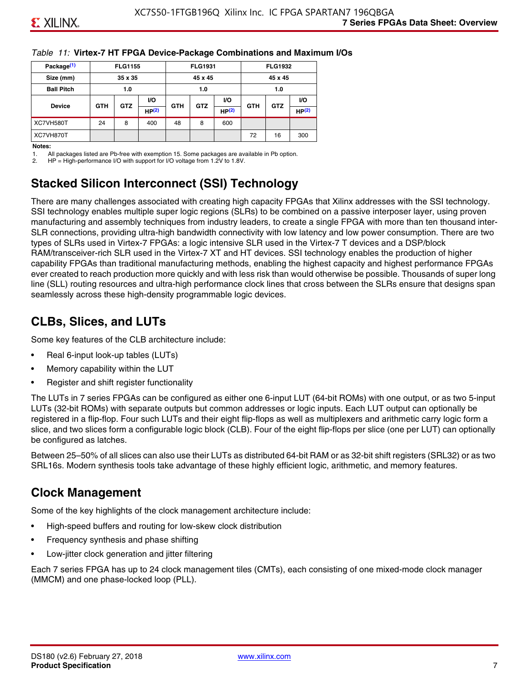#### *Table 11:* **Virtex-7 HT FPGA Device-Package Combinations and Maximum I/Os**

| Package <sup>(1)</sup> |            | <b>FLG1155</b> |       |            | <b>FLG1931</b> |       |            | <b>FLG1932</b> |       |
|------------------------|------------|----------------|-------|------------|----------------|-------|------------|----------------|-------|
| Size (mm)              |            | 35 x 35        |       |            | 45 x 45        |       |            | 45 x 45        |       |
| <b>Ball Pitch</b>      |            | 1.0            |       |            | 1.0            |       |            | 1.0            |       |
|                        |            | <b>GTZ</b>     | VO.   |            |                | VO.   |            | <b>GTZ</b>     | VO.   |
| <b>Device</b>          | <b>GTH</b> |                | HP(2) | <b>GTH</b> | <b>GTZ</b>     | HP(2) | <b>GTH</b> |                | HP(2) |
| XC7VH580T              | 24         | 8              | 400   | 48         | 8              | 600   |            |                |       |
| XC7VH870T              |            |                |       |            |                |       | 72         | 16             | 300   |

#### **Notes:**

1. All packages listed are Pb-free with exemption 15. Some packages are available in Pb option.

2. HP = High-performance I/O with support for I/O voltage from 1.2V to 1.8V.

## **Stacked Silicon Interconnect (SSI) Technology**

There are many challenges associated with creating high capacity FPGAs that Xilinx addresses with the SSI technology. SSI technology enables multiple super logic regions (SLRs) to be combined on a passive interposer layer, using proven manufacturing and assembly techniques from industry leaders, to create a single FPGA with more than ten thousand inter-SLR connections, providing ultra-high bandwidth connectivity with low latency and low power consumption. There are two types of SLRs used in Virtex-7 FPGAs: a logic intensive SLR used in the Virtex-7 T devices and a DSP/block RAM/transceiver-rich SLR used in the Virtex-7 XT and HT devices. SSI technology enables the production of higher capability FPGAs than traditional manufacturing methods, enabling the highest capacity and highest performance FPGAs ever created to reach production more quickly and with less risk than would otherwise be possible. Thousands of super long line (SLL) routing resources and ultra-high performance clock lines that cross between the SLRs ensure that designs span seamlessly across these high-density programmable logic devices.

### **CLBs, Slices, and LUTs**

Some key features of the CLB architecture include:

- Real 6-input look-up tables (LUTs)
- Memory capability within the LUT
- Register and shift register functionality

The LUTs in 7 series FPGAs can be configured as either one 6-input LUT (64-bit ROMs) with one output, or as two 5-input LUTs (32-bit ROMs) with separate outputs but common addresses or logic inputs. Each LUT output can optionally be registered in a flip-flop. Four such LUTs and their eight flip-flops as well as multiplexers and arithmetic carry logic form a slice, and two slices form a configurable logic block (CLB). Four of the eight flip-flops per slice (one per LUT) can optionally be configured as latches.

Between 25–50% of all slices can also use their LUTs as distributed 64-bit RAM or as 32-bit shift registers (SRL32) or as two SRL16s. Modern synthesis tools take advantage of these highly efficient logic, arithmetic, and memory features.

### **Clock Management**

Some of the key highlights of the clock management architecture include:

- High-speed buffers and routing for low-skew clock distribution
- Frequency synthesis and phase shifting
- Low-jitter clock generation and jitter filtering

Each 7 series FPGA has up to 24 clock management tiles (CMTs), each consisting of one mixed-mode clock manager (MMCM) and one phase-locked loop (PLL).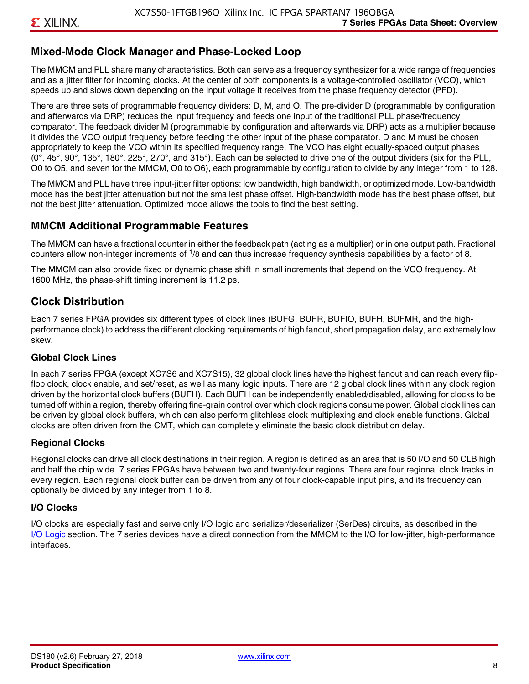### **Mixed-Mode Clock Manager and Phase-Locked Loop**

The MMCM and PLL share many characteristics. Both can serve as a frequency synthesizer for a wide range of frequencies and as a jitter filter for incoming clocks. At the center of both components is a voltage-controlled oscillator (VCO), which speeds up and slows down depending on the input voltage it receives from the phase frequency detector (PFD).

There are three sets of programmable frequency dividers: D, M, and O. The pre-divider D (programmable by configuration and afterwards via DRP) reduces the input frequency and feeds one input of the traditional PLL phase/frequency comparator. The feedback divider M (programmable by configuration and afterwards via DRP) acts as a multiplier because it divides the VCO output frequency before feeding the other input of the phase comparator. D and M must be chosen appropriately to keep the VCO within its specified frequency range. The VCO has eight equally-spaced output phases  $(0^\circ, 45^\circ, 90^\circ, 135^\circ, 180^\circ, 225^\circ, 270^\circ,$  and  $315^\circ$ ). Each can be selected to drive one of the output dividers (six for the PLL, O0 to O5, and seven for the MMCM, O0 to O6), each programmable by configuration to divide by any integer from 1 to 128.

The MMCM and PLL have three input-jitter filter options: low bandwidth, high bandwidth, or optimized mode. Low-bandwidth mode has the best jitter attenuation but not the smallest phase offset. High-bandwidth mode has the best phase offset, but not the best jitter attenuation. Optimized mode allows the tools to find the best setting.

### **MMCM Additional Programmable Features**

The MMCM can have a fractional counter in either the feedback path (acting as a multiplier) or in one output path. Fractional counters allow non-integer increments of  $1/8$  and can thus increase frequency synthesis capabilities by a factor of 8.

The MMCM can also provide fixed or dynamic phase shift in small increments that depend on the VCO frequency. At 1600 MHz, the phase-shift timing increment is 11.2 ps.

### **Clock Distribution**

Each 7 series FPGA provides six different types of clock lines (BUFG, BUFR, BUFIO, BUFH, BUFMR, and the highperformance clock) to address the different clocking requirements of high fanout, short propagation delay, and extremely low skew.

#### **Global Clock Lines**

In each 7 series FPGA (except XC7S6 and XC7S15), 32 global clock lines have the highest fanout and can reach every flipflop clock, clock enable, and set/reset, as well as many logic inputs. There are 12 global clock lines within any clock region driven by the horizontal clock buffers (BUFH). Each BUFH can be independently enabled/disabled, allowing for clocks to be turned off within a region, thereby offering fine-grain control over which clock regions consume power. Global clock lines can be driven by global clock buffers, which can also perform glitchless clock multiplexing and clock enable functions. Global clocks are often driven from the CMT, which can completely eliminate the basic clock distribution delay.

#### **Regional Clocks**

Regional clocks can drive all clock destinations in their region. A region is defined as an area that is 50 I/O and 50 CLB high and half the chip wide. 7 series FPGAs have between two and twenty-four regions. There are four regional clock tracks in every region. Each regional clock buffer can be driven from any of four clock-capable input pins, and its frequency can optionally be divided by any integer from 1 to 8.

#### **I/O Clocks**

I/O clocks are especially fast and serve only I/O logic and serializer/deserializer (SerDes) circuits, as described in the I/O Logic section. The 7 series devices have a direct connection from the MMCM to the I/O for low-jitter, high-performance interfaces.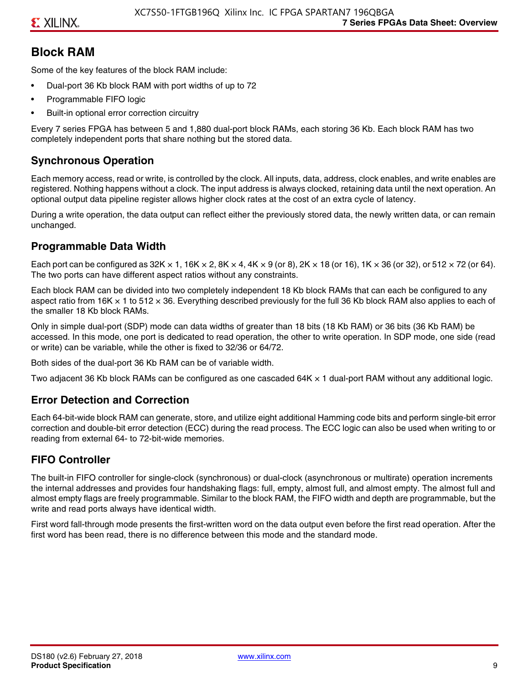### **Block RAM**

Some of the key features of the block RAM include:

- Dual-port 36 Kb block RAM with port widths of up to 72
- Programmable FIFO logic
- Built-in optional error correction circuitry

Every 7 series FPGA has between 5 and 1,880 dual-port block RAMs, each storing 36 Kb. Each block RAM has two completely independent ports that share nothing but the stored data.

### **Synchronous Operation**

Each memory access, read or write, is controlled by the clock. All inputs, data, address, clock enables, and write enables are registered. Nothing happens without a clock. The input address is always clocked, retaining data until the next operation. An optional output data pipeline register allows higher clock rates at the cost of an extra cycle of latency.

During a write operation, the data output can reflect either the previously stored data, the newly written data, or can remain unchanged.

### **Programmable Data Width**

Each port can be configured as 32K  $\times$  1, 16K  $\times$  2, 8K  $\times$  4, 4K  $\times$  9 (or 8), 2K  $\times$  18 (or 16), 1K  $\times$  36 (or 32), or 512  $\times$  72 (or 64). The two ports can have different aspect ratios without any constraints.

Each block RAM can be divided into two completely independent 18 Kb block RAMs that can each be configured to any aspect ratio from 16K  $\times$  1 to 512  $\times$  36. Everything described previously for the full 36 Kb block RAM also applies to each of the smaller 18 Kb block RAMs.

Only in simple dual-port (SDP) mode can data widths of greater than 18 bits (18 Kb RAM) or 36 bits (36 Kb RAM) be accessed. In this mode, one port is dedicated to read operation, the other to write operation. In SDP mode, one side (read or write) can be variable, while the other is fixed to 32/36 or 64/72.

Both sides of the dual-port 36 Kb RAM can be of variable width.

Two adjacent 36 Kb block RAMs can be configured as one cascaded 64K × 1 dual-port RAM without any additional logic.

### **Error Detection and Correction**

Each 64-bit-wide block RAM can generate, store, and utilize eight additional Hamming code bits and perform single-bit error correction and double-bit error detection (ECC) during the read process. The ECC logic can also be used when writing to or reading from external 64- to 72-bit-wide memories.

### **FIFO Controller**

The built-in FIFO controller for single-clock (synchronous) or dual-clock (asynchronous or multirate) operation increments the internal addresses and provides four handshaking flags: full, empty, almost full, and almost empty. The almost full and almost empty flags are freely programmable. Similar to the block RAM, the FIFO width and depth are programmable, but the write and read ports always have identical width.

First word fall-through mode presents the first-written word on the data output even before the first read operation. After the first word has been read, there is no difference between this mode and the standard mode.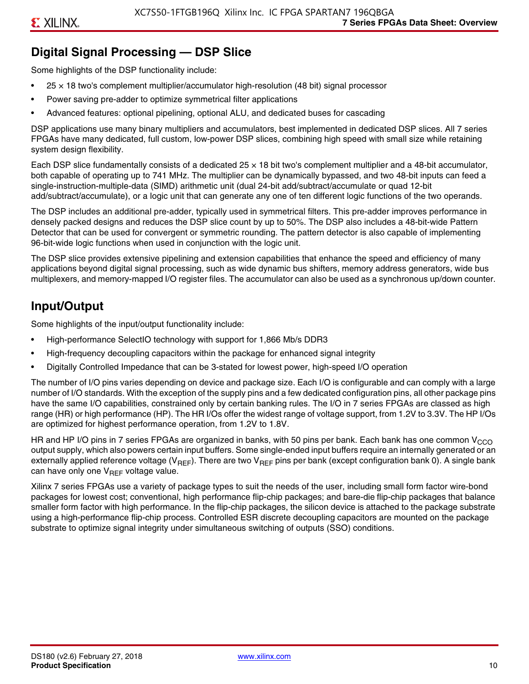# **Digital Signal Processing — DSP Slice**

Some highlights of the DSP functionality include:

- $25 \times 18$  two's complement multiplier/accumulator high-resolution (48 bit) signal processor
- Power saving pre-adder to optimize symmetrical filter applications
- Advanced features: optional pipelining, optional ALU, and dedicated buses for cascading

DSP applications use many binary multipliers and accumulators, best implemented in dedicated DSP slices. All 7 series FPGAs have many dedicated, full custom, low-power DSP slices, combining high speed with small size while retaining system design flexibility.

Each DSP slice fundamentally consists of a dedicated 25 × 18 bit two's complement multiplier and a 48-bit accumulator, both capable of operating up to 741 MHz. The multiplier can be dynamically bypassed, and two 48-bit inputs can feed a single-instruction-multiple-data (SIMD) arithmetic unit (dual 24-bit add/subtract/accumulate or quad 12-bit add/subtract/accumulate), or a logic unit that can generate any one of ten different logic functions of the two operands.

The DSP includes an additional pre-adder, typically used in symmetrical filters. This pre-adder improves performance in densely packed designs and reduces the DSP slice count by up to 50%. The DSP also includes a 48-bit-wide Pattern Detector that can be used for convergent or symmetric rounding. The pattern detector is also capable of implementing 96-bit-wide logic functions when used in conjunction with the logic unit.

The DSP slice provides extensive pipelining and extension capabilities that enhance the speed and efficiency of many applications beyond digital signal processing, such as wide dynamic bus shifters, memory address generators, wide bus multiplexers, and memory-mapped I/O register files. The accumulator can also be used as a synchronous up/down counter.

## **Input/Output**

Some highlights of the input/output functionality include:

- High-performance SelectIO technology with support for 1,866 Mb/s DDR3
- High-frequency decoupling capacitors within the package for enhanced signal integrity
- Digitally Controlled Impedance that can be 3-stated for lowest power, high-speed I/O operation

The number of I/O pins varies depending on device and package size. Each I/O is configurable and can comply with a large number of I/O standards. With the exception of the supply pins and a few dedicated configuration pins, all other package pins have the same I/O capabilities, constrained only by certain banking rules. The I/O in 7 series FPGAs are classed as high range (HR) or high performance (HP). The HR I/Os offer the widest range of voltage support, from 1.2V to 3.3V. The HP I/Os are optimized for highest performance operation, from 1.2V to 1.8V.

HR and HP I/O pins in 7 series FPGAs are organized in banks, with 50 pins per bank. Each bank has one common V<sub>CCO</sub> output supply, which also powers certain input buffers. Some single-ended input buffers require an internally generated or an externally applied reference voltage ( $V_{RFF}$ ). There are two  $V_{RFF}$  pins per bank (except configuration bank 0). A single bank can have only one  $V_{\text{RFF}}$  voltage value.

Xilinx 7 series FPGAs use a variety of package types to suit the needs of the user, including small form factor wire-bond packages for lowest cost; conventional, high performance flip-chip packages; and bare-die flip-chip packages that balance smaller form factor with high performance. In the flip-chip packages, the silicon device is attached to the package substrate using a high-performance flip-chip process. Controlled ESR discrete decoupling capacitors are mounted on the package substrate to optimize signal integrity under simultaneous switching of outputs (SSO) conditions.

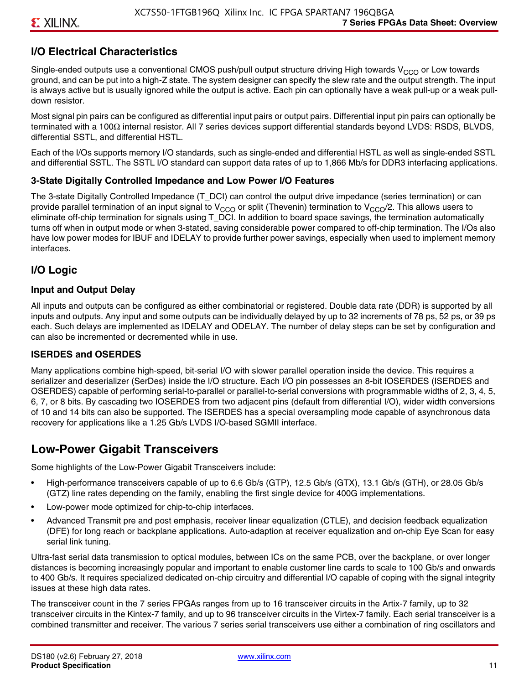### **I/O Electrical Characteristics**

Single-ended outputs use a conventional CMOS push/pull output structure driving High towards  $V_{CCO}$  or Low towards ground, and can be put into a high-Z state. The system designer can specify the slew rate and the output strength. The input is always active but is usually ignored while the output is active. Each pin can optionally have a weak pull-up or a weak pulldown resistor.

Most signal pin pairs can be configured as differential input pairs or output pairs. Differential input pin pairs can optionally be terminated with a 100Ω internal resistor. All 7 series devices support differential standards beyond LVDS: RSDS, BLVDS, differential SSTL, and differential HSTL.

Each of the I/Os supports memory I/O standards, such as single-ended and differential HSTL as well as single-ended SSTL and differential SSTL. The SSTL I/O standard can support data rates of up to 1,866 Mb/s for DDR3 interfacing applications.

#### **3-State Digitally Controlled Impedance and Low Power I/O Features**

The 3-state Digitally Controlled Impedance (T\_DCI) can control the output drive impedance (series termination) or can provide parallel termination of an input signal to V<sub>CCO</sub> or split (Thevenin) termination to V<sub>CCO</sub>/2. This allows users to eliminate off-chip termination for signals using T\_DCI. In addition to board space savings, the termination automatically turns off when in output mode or when 3-stated, saving considerable power compared to off-chip termination. The I/Os also have low power modes for IBUF and IDELAY to provide further power savings, especially when used to implement memory interfaces.

### **I/O Logic**

#### **Input and Output Delay**

All inputs and outputs can be configured as either combinatorial or registered. Double data rate (DDR) is supported by all inputs and outputs. Any input and some outputs can be individually delayed by up to 32 increments of 78 ps, 52 ps, or 39 ps each. Such delays are implemented as IDELAY and ODELAY. The number of delay steps can be set by configuration and can also be incremented or decremented while in use.

#### **ISERDES and OSERDES**

Many applications combine high-speed, bit-serial I/O with slower parallel operation inside the device. This requires a serializer and deserializer (SerDes) inside the I/O structure. Each I/O pin possesses an 8-bit IOSERDES (ISERDES and OSERDES) capable of performing serial-to-parallel or parallel-to-serial conversions with programmable widths of 2, 3, 4, 5, 6, 7, or 8 bits. By cascading two IOSERDES from two adjacent pins (default from differential I/O), wider width conversions of 10 and 14 bits can also be supported. The ISERDES has a special oversampling mode capable of asynchronous data recovery for applications like a 1.25 Gb/s LVDS I/O-based SGMII interface.

### **Low-Power Gigabit Transceivers**

Some highlights of the Low-Power Gigabit Transceivers include:

- High-performance transceivers capable of up to 6.6 Gb/s (GTP), 12.5 Gb/s (GTX), 13.1 Gb/s (GTH), or 28.05 Gb/s (GTZ) line rates depending on the family, enabling the first single device for 400G implementations.
- Low-power mode optimized for chip-to-chip interfaces.
- Advanced Transmit pre and post emphasis, receiver linear equalization (CTLE), and decision feedback equalization (DFE) for long reach or backplane applications. Auto-adaption at receiver equalization and on-chip Eye Scan for easy serial link tuning.

Ultra-fast serial data transmission to optical modules, between ICs on the same PCB, over the backplane, or over longer distances is becoming increasingly popular and important to enable customer line cards to scale to 100 Gb/s and onwards to 400 Gb/s. It requires specialized dedicated on-chip circuitry and differential I/O capable of coping with the signal integrity issues at these high data rates.

The transceiver count in the 7 series FPGAs ranges from up to 16 transceiver circuits in the Artix-7 family, up to 32 transceiver circuits in the Kintex-7 family, and up to 96 transceiver circuits in the Virtex-7 family. Each serial transceiver is a combined transmitter and receiver. The various 7 series serial transceivers use either a combination of ring oscillators and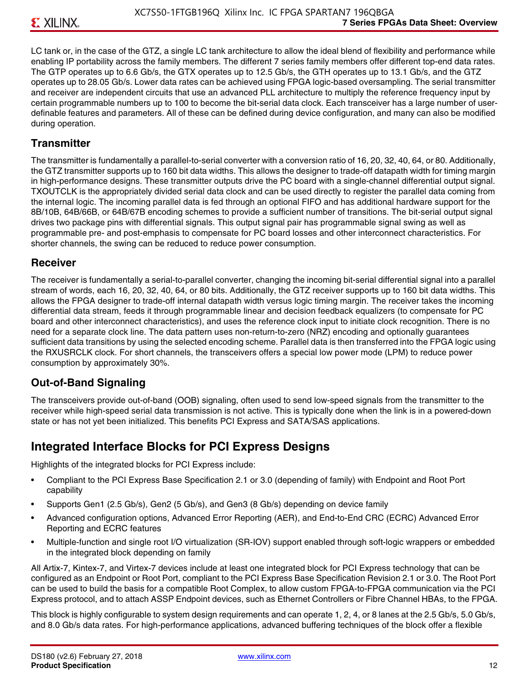LC tank or, in the case of the GTZ, a single LC tank architecture to allow the ideal blend of flexibility and performance while enabling IP portability across the family members. The different 7 series family members offer different top-end data rates. The GTP operates up to 6.6 Gb/s, the GTX operates up to 12.5 Gb/s, the GTH operates up to 13.1 Gb/s, and the GTZ operates up to 28.05 Gb/s. Lower data rates can be achieved using FPGA logic-based oversampling. The serial transmitter and receiver are independent circuits that use an advanced PLL architecture to multiply the reference frequency input by certain programmable numbers up to 100 to become the bit-serial data clock. Each transceiver has a large number of userdefinable features and parameters. All of these can be defined during device configuration, and many can also be modified during operation.

### **Transmitter**

The transmitter is fundamentally a parallel-to-serial converter with a conversion ratio of 16, 20, 32, 40, 64, or 80. Additionally, the GTZ transmitter supports up to 160 bit data widths. This allows the designer to trade-off datapath width for timing margin in high-performance designs. These transmitter outputs drive the PC board with a single-channel differential output signal. TXOUTCLK is the appropriately divided serial data clock and can be used directly to register the parallel data coming from the internal logic. The incoming parallel data is fed through an optional FIFO and has additional hardware support for the 8B/10B, 64B/66B, or 64B/67B encoding schemes to provide a sufficient number of transitions. The bit-serial output signal drives two package pins with differential signals. This output signal pair has programmable signal swing as well as programmable pre- and post-emphasis to compensate for PC board losses and other interconnect characteristics. For shorter channels, the swing can be reduced to reduce power consumption.

#### **Receiver**

The receiver is fundamentally a serial-to-parallel converter, changing the incoming bit-serial differential signal into a parallel stream of words, each 16, 20, 32, 40, 64, or 80 bits. Additionally, the GTZ receiver supports up to 160 bit data widths. This allows the FPGA designer to trade-off internal datapath width versus logic timing margin. The receiver takes the incoming differential data stream, feeds it through programmable linear and decision feedback equalizers (to compensate for PC board and other interconnect characteristics), and uses the reference clock input to initiate clock recognition. There is no need for a separate clock line. The data pattern uses non-return-to-zero (NRZ) encoding and optionally guarantees sufficient data transitions by using the selected encoding scheme. Parallel data is then transferred into the FPGA logic using the RXUSRCLK clock. For short channels, the transceivers offers a special low power mode (LPM) to reduce power consumption by approximately 30%.

### **Out-of-Band Signaling**

The transceivers provide out-of-band (OOB) signaling, often used to send low-speed signals from the transmitter to the receiver while high-speed serial data transmission is not active. This is typically done when the link is in a powered-down state or has not yet been initialized. This benefits PCI Express and SATA/SAS applications.

### **Integrated Interface Blocks for PCI Express Designs**

Highlights of the integrated blocks for PCI Express include:

- Compliant to the PCI Express Base Specification 2.1 or 3.0 (depending of family) with Endpoint and Root Port capability
- Supports Gen1 (2.5 Gb/s), Gen2 (5 Gb/s), and Gen3 (8 Gb/s) depending on device family
- Advanced configuration options, Advanced Error Reporting (AER), and End-to-End CRC (ECRC) Advanced Error Reporting and ECRC features
- Multiple-function and single root I/O virtualization (SR-IOV) support enabled through soft-logic wrappers or embedded in the integrated block depending on family

All Artix-7, Kintex-7, and Virtex-7 devices include at least one integrated block for PCI Express technology that can be configured as an Endpoint or Root Port, compliant to the PCI Express Base Specification Revision 2.1 or 3.0. The Root Port can be used to build the basis for a compatible Root Complex, to allow custom FPGA-to-FPGA communication via the PCI Express protocol, and to attach ASSP Endpoint devices, such as Ethernet Controllers or Fibre Channel HBAs, to the FPGA.

This block is highly configurable to system design requirements and can operate 1, 2, 4, or 8 lanes at the 2.5 Gb/s, 5.0 Gb/s, and 8.0 Gb/s data rates. For high-performance applications, advanced buffering techniques of the block offer a flexible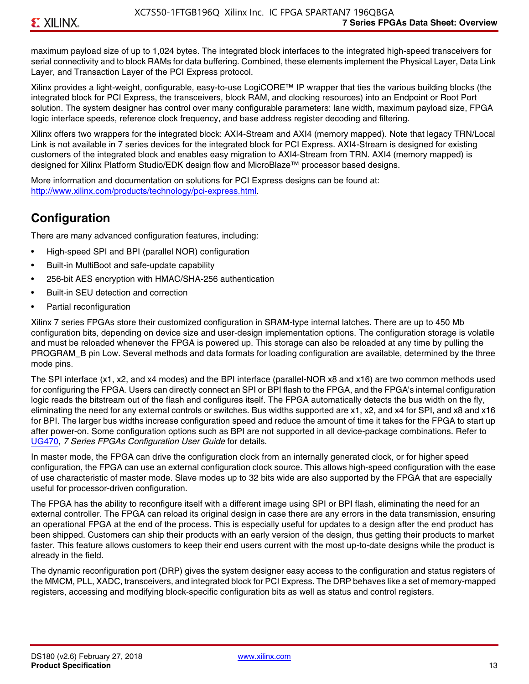maximum payload size of up to 1,024 bytes. The integrated block interfaces to the integrated high-speed transceivers for serial connectivity and to block RAMs for data buffering. Combined, these elements implement the Physical Layer, Data Link Layer, and Transaction Layer of the PCI Express protocol.

Xilinx provides a light-weight, configurable, easy-to-use LogiCORE™ IP wrapper that ties the various building blocks (the integrated block for PCI Express, the transceivers, block RAM, and clocking resources) into an Endpoint or Root Port solution. The system designer has control over many configurable parameters: lane width, maximum payload size, FPGA logic interface speeds, reference clock frequency, and base address register decoding and filtering.

Xilinx offers two wrappers for the integrated block: AXI4-Stream and AXI4 (memory mapped). Note that legacy TRN/Local Link is not available in 7 series devices for the integrated block for PCI Express. AXI4-Stream is designed for existing customers of the integrated block and enables easy migration to AXI4-Stream from TRN. AXI4 (memory mapped) is designed for Xilinx Platform Studio/EDK design flow and MicroBlaze™ processor based designs.

More information and documentation on solutions for PCI Express designs can be found at: <http://www.xilinx.com/products/technology/pci-express.html>.

# **Configuration**

There are many advanced configuration features, including:

- High-speed SPI and BPI (parallel NOR) configuration
- Built-in MultiBoot and safe-update capability
- 256-bit AES encryption with HMAC/SHA-256 authentication
- Built-in SEU detection and correction
- Partial reconfiguration

Xilinx 7 series FPGAs store their customized configuration in SRAM-type internal latches. There are up to 450 Mb configuration bits, depending on device size and user-design implementation options. The configuration storage is volatile and must be reloaded whenever the FPGA is powered up. This storage can also be reloaded at any time by pulling the PROGRAM B pin Low. Several methods and data formats for loading configuration are available, determined by the three mode pins.

The SPI interface (x1, x2, and x4 modes) and the BPI interface (parallel-NOR x8 and x16) are two common methods used for configuring the FPGA. Users can directly connect an SPI or BPI flash to the FPGA, and the FPGA's internal configuration logic reads the bitstream out of the flash and configures itself. The FPGA automatically detects the bus width on the fly, eliminating the need for any external controls or switches. Bus widths supported are x1, x2, and x4 for SPI, and x8 and x16 for BPI. The larger bus widths increase configuration speed and reduce the amount of time it takes for the FPGA to start up after power-on. Some configuration options such as BPI are not supported in all device-package combinations. Refer to [UG470,](http://www.xilinx.com/support/documentation/user_guides/ug470_7Series_Config.pdf) *7 Series FPGAs Configuration User Guide* for details.

In master mode, the FPGA can drive the configuration clock from an internally generated clock, or for higher speed configuration, the FPGA can use an external configuration clock source. This allows high-speed configuration with the ease of use characteristic of master mode. Slave modes up to 32 bits wide are also supported by the FPGA that are especially useful for processor-driven configuration.

The FPGA has the ability to reconfigure itself with a different image using SPI or BPI flash, eliminating the need for an external controller. The FPGA can reload its original design in case there are any errors in the data transmission, ensuring an operational FPGA at the end of the process. This is especially useful for updates to a design after the end product has been shipped. Customers can ship their products with an early version of the design, thus getting their products to market faster. This feature allows customers to keep their end users current with the most up-to-date designs while the product is already in the field.

The dynamic reconfiguration port (DRP) gives the system designer easy access to the configuration and status registers of the MMCM, PLL, XADC, transceivers, and integrated block for PCI Express. The DRP behaves like a set of memory-mapped registers, accessing and modifying block-specific configuration bits as well as status and control registers.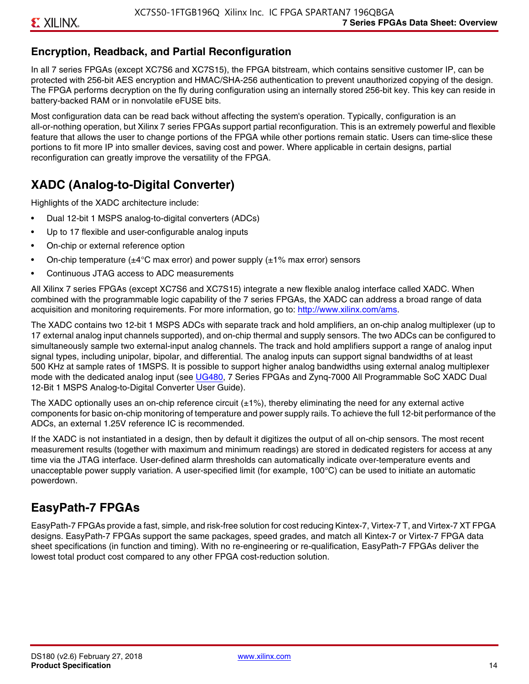### **Encryption, Readback, and Partial Reconfiguration**

In all 7 series FPGAs (except XC7S6 and XC7S15), the FPGA bitstream, which contains sensitive customer IP, can be protected with 256-bit AES encryption and HMAC/SHA-256 authentication to prevent unauthorized copying of the design. The FPGA performs decryption on the fly during configuration using an internally stored 256-bit key. This key can reside in battery-backed RAM or in nonvolatile eFUSE bits.

Most configuration data can be read back without affecting the system's operation. Typically, configuration is an all-or-nothing operation, but Xilinx 7 series FPGAs support partial reconfiguration. This is an extremely powerful and flexible feature that allows the user to change portions of the FPGA while other portions remain static. Users can time-slice these portions to fit more IP into smaller devices, saving cost and power. Where applicable in certain designs, partial reconfiguration can greatly improve the versatility of the FPGA.

# **XADC (Analog-to-Digital Converter)**

Highlights of the XADC architecture include:

- Dual 12-bit 1 MSPS analog-to-digital converters (ADCs)
- Up to 17 flexible and user-configurable analog inputs
- On-chip or external reference option
- On-chip temperature ( $\pm 4^{\circ}$ C max error) and power supply ( $\pm 1\%$  max error) sensors
- Continuous JTAG access to ADC measurements

All Xilinx 7 series FPGAs (except XC7S6 and XC7S15) integrate a new flexible analog interface called XADC. When combined with the programmable logic capability of the 7 series FPGAs, the XADC can address a broad range of data acquisition and monitoring requirements. For more information, go to: [http://www.xilinx.com/ams.](http://www.xilinx.com/ams)

The XADC contains two 12-bit 1 MSPS ADCs with separate track and hold amplifiers, an on-chip analog multiplexer (up to 17 external analog input channels supported), and on-chip thermal and supply sensors. The two ADCs can be configured to simultaneously sample two external-input analog channels. The track and hold amplifiers support a range of analog input signal types, including unipolar, bipolar, and differential. The analog inputs can support signal bandwidths of at least 500 KHz at sample rates of 1MSPS. It is possible to support higher analog bandwidths using external analog multiplexer mode with the dedicated analog input (see [UG480](http://www.xilinx.com/support/documentation/user_guides/ug480_7Series_XADC.pdf), 7 Series FPGAs and Zynq-7000 All Programmable SoC XADC Dual 12-Bit 1 MSPS Analog-to-Digital Converter User Guide)*.*

The XADC optionally uses an on-chip reference circuit  $(\pm 1\%)$ , thereby eliminating the need for any external active components for basic on-chip monitoring of temperature and power supply rails. To achieve the full 12-bit performance of the ADCs, an external 1.25V reference IC is recommended.

If the XADC is not instantiated in a design, then by default it digitizes the output of all on-chip sensors. The most recent measurement results (together with maximum and minimum readings) are stored in dedicated registers for access at any time via the JTAG interface. User-defined alarm thresholds can automatically indicate over-temperature events and unacceptable power supply variation. A user-specified limit (for example, 100°C) can be used to initiate an automatic powerdown.

### **EasyPath-7 FPGAs**

EasyPath-7 FPGAs provide a fast, simple, and risk-free solution for cost reducing Kintex-7, Virtex-7 T, and Virtex-7 XT FPGA designs. EasyPath-7 FPGAs support the same packages, speed grades, and match all Kintex-7 or Virtex-7 FPGA data sheet specifications (in function and timing). With no re-engineering or re-qualification, EasyPath-7 FPGAs deliver the lowest total product cost compared to any other FPGA cost-reduction solution.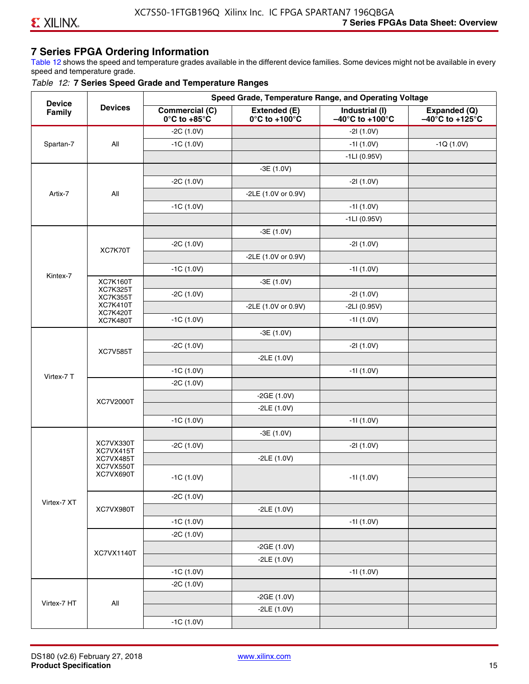### **7 Series FPGA Ordering Information**

Table 12 shows the speed and temperature grades available in the different device families. Some devices might not be available in every speed and temperature grade.

#### *Table 12:* **7 Series Speed Grade and Temperature Ranges**

| <b>Device</b> |                                    |                                                        |                                                    | Speed Grade, Temperature Range, and Operating Voltage  |                                                      |
|---------------|------------------------------------|--------------------------------------------------------|----------------------------------------------------|--------------------------------------------------------|------------------------------------------------------|
| Family        | <b>Devices</b>                     | <b>Commercial (C)</b><br>$0^\circ$ C to +85 $^\circ$ C | Extended (E)<br>$0^{\circ}$ C to +100 $^{\circ}$ C | Industrial (I)<br>$-40^{\circ}$ C to +100 $^{\circ}$ C | Expanded (Q)<br>$-40^{\circ}$ C to +125 $^{\circ}$ C |
|               |                                    | $-2C(1.0V)$                                            |                                                    | $-21(1.0V)$                                            |                                                      |
| Spartan-7     | All                                | $-1C(1.0V)$                                            |                                                    | $-11(1.0V)$                                            | $-1Q(1.0V)$                                          |
|               |                                    |                                                        |                                                    | $-1LI(0.95V)$                                          |                                                      |
|               |                                    |                                                        | $-3E(1.0V)$                                        |                                                        |                                                      |
|               |                                    | $-2C(1.0V)$                                            |                                                    | $-21(1.0V)$                                            |                                                      |
| Artix-7       | All                                |                                                        | -2LE (1.0V or 0.9V)                                |                                                        |                                                      |
|               |                                    | $-1C(1.0V)$                                            |                                                    | $-11(1.0V)$                                            |                                                      |
|               |                                    |                                                        |                                                    | $-1LI(0.95V)$                                          |                                                      |
|               |                                    |                                                        | $-3E(1.0V)$                                        |                                                        |                                                      |
|               | XC7K70T                            | $-2C(1.0V)$                                            |                                                    | $-21(1.0V)$                                            |                                                      |
|               |                                    |                                                        | -2LE (1.0V or 0.9V)                                |                                                        |                                                      |
|               |                                    | $-1C(1.0V)$                                            |                                                    | $-11(1.0V)$                                            |                                                      |
| Kintex-7      | <b>XC7K160T</b>                    |                                                        | $-3E(1.0V)$                                        |                                                        |                                                      |
|               | <b>XC7K325T</b><br><b>XC7K355T</b> | $-2C(1.0V)$                                            |                                                    | $-21(1.0V)$                                            |                                                      |
|               | <b>XC7K410T</b>                    |                                                        | -2LE (1.0V or 0.9V)                                | $-2LI(0.95V)$                                          |                                                      |
|               | <b>XC7K420T</b><br><b>XC7K480T</b> | $-1C(1.0V)$                                            |                                                    | $-11(1.0V)$                                            |                                                      |
|               |                                    |                                                        | $-3E(1.0V)$                                        |                                                        |                                                      |
|               |                                    | $-2C(1.0V)$                                            |                                                    | $-21(1.0V)$                                            |                                                      |
|               | <b>XC7V585T</b>                    |                                                        | $-2LE(1.0V)$                                       |                                                        |                                                      |
|               |                                    | $-1C(1.0V)$                                            |                                                    | $-11(1.0V)$                                            |                                                      |
| Virtex-7 T    |                                    | $-2C(1.0V)$                                            |                                                    |                                                        |                                                      |
|               |                                    |                                                        | $-2GE(1.0V)$                                       |                                                        |                                                      |
|               | XC7V2000T                          |                                                        | $-2LE(1.0V)$                                       |                                                        |                                                      |
|               |                                    | $-1C(1.0V)$                                            |                                                    | $-11(1.0V)$                                            |                                                      |
|               |                                    |                                                        | $-3E(1.0V)$                                        |                                                        |                                                      |
|               | XC7VX330T                          | $-2C(1.0V)$                                            |                                                    | $-21(1.0V)$                                            |                                                      |
|               | XC7VX415T<br>XC7VX485T             |                                                        | $-2LE(1.0V)$                                       |                                                        |                                                      |
|               | XC7VX550T<br>XC7VX690T             |                                                        |                                                    |                                                        |                                                      |
|               |                                    | $-1C(1.0V)$                                            |                                                    | $-11(1.0V)$                                            |                                                      |
|               |                                    | $-2C(1.0V)$                                            |                                                    |                                                        |                                                      |
| Virtex-7 XT   | XC7VX980T                          |                                                        | $-2LE(1.0V)$                                       |                                                        |                                                      |
|               |                                    | $-1C(1.0V)$                                            |                                                    | $-11(1.0V)$                                            |                                                      |
|               |                                    | $-2C(1.0V)$                                            |                                                    |                                                        |                                                      |
|               |                                    |                                                        | $-2GE(1.0V)$                                       |                                                        |                                                      |
|               | XC7VX1140T                         |                                                        | $-2LE(1.0V)$                                       |                                                        |                                                      |
|               |                                    | $-1C(1.0V)$                                            |                                                    | $-11(1.0V)$                                            |                                                      |
|               |                                    | $-2C(1.0V)$                                            |                                                    |                                                        |                                                      |
|               |                                    |                                                        | $-2GE(1.0V)$                                       |                                                        |                                                      |
| Virtex-7 HT   | All                                |                                                        | $-2LE(1.0V)$                                       |                                                        |                                                      |
|               |                                    | $-1C(1.0V)$                                            |                                                    |                                                        |                                                      |
|               |                                    |                                                        |                                                    |                                                        |                                                      |

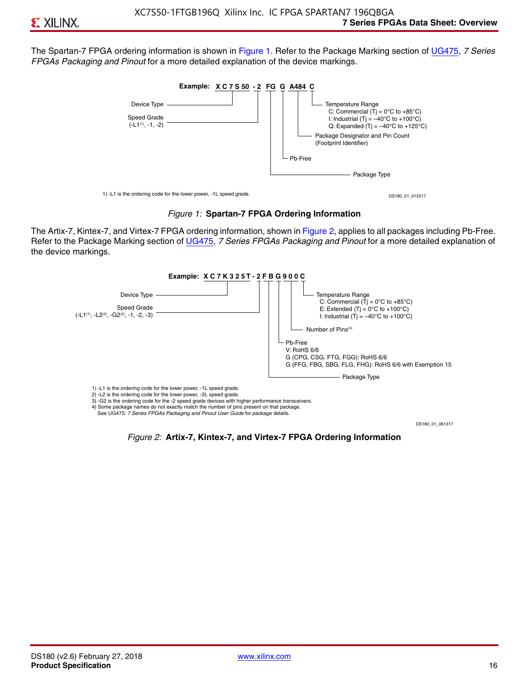The Spartan-7 FPGA ordering information is shown in Figure 1. Refer to the Package Marking section of [UG475,](http://www.xilinx.com/support/documentation/user_guides/ug475_7Series_Pkg_Pinout.pdf) *7 Series FPGAs Packaging and Pinout* for a more detailed explanation of the device markings.





The Artix-7, Kintex-7, and Virtex-7 FPGA ordering information, shown in Figure 2, applies to all packages including Pb-Free. Refer to the Package Marking section of [UG475](http://www.xilinx.com/support/documentation/user_guides/ug475_7Series_Pkg_Pinout.pdf), *7 Series FPGAs Packaging and Pinout* for a more detailed explanation of the device markings.



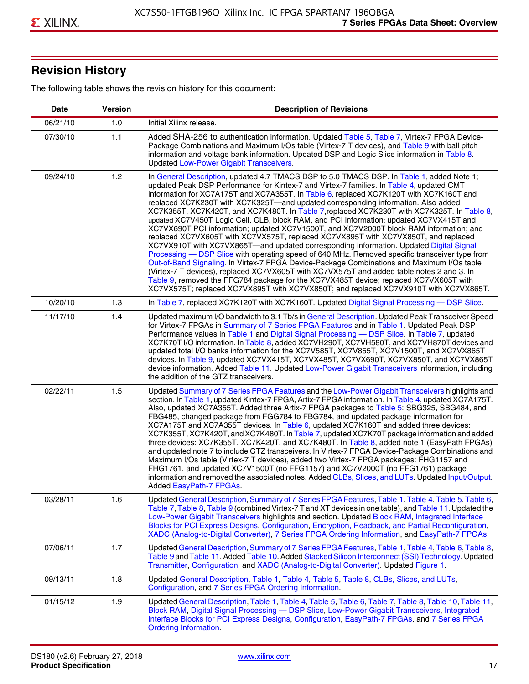# **Revision History**

The following table shows the revision history for this document:

| <b>Date</b> | <b>Version</b> | <b>Description of Revisions</b>                                                                                                                                                                                                                                                                                                                                                                                                                                                                                                                                                                                                                                                                                                                                                                                                                                                                                                                                                                                                                                                                                                                                                                                                                                                                                       |
|-------------|----------------|-----------------------------------------------------------------------------------------------------------------------------------------------------------------------------------------------------------------------------------------------------------------------------------------------------------------------------------------------------------------------------------------------------------------------------------------------------------------------------------------------------------------------------------------------------------------------------------------------------------------------------------------------------------------------------------------------------------------------------------------------------------------------------------------------------------------------------------------------------------------------------------------------------------------------------------------------------------------------------------------------------------------------------------------------------------------------------------------------------------------------------------------------------------------------------------------------------------------------------------------------------------------------------------------------------------------------|
| 06/21/10    | 1.0            | Initial Xilinx release.                                                                                                                                                                                                                                                                                                                                                                                                                                                                                                                                                                                                                                                                                                                                                                                                                                                                                                                                                                                                                                                                                                                                                                                                                                                                                               |
| 07/30/10    | 1.1            | Added SHA-256 to authentication information. Updated Table 5, Table 7, Virtex-7 FPGA Device-<br>Package Combinations and Maximum I/Os table (Virtex-7 T devices), and Table 9 with ball pitch<br>information and voltage bank information. Updated DSP and Logic Slice information in Table 8.<br><b>Updated Low-Power Gigabit Transceivers.</b>                                                                                                                                                                                                                                                                                                                                                                                                                                                                                                                                                                                                                                                                                                                                                                                                                                                                                                                                                                      |
| 09/24/10    | 1.2            | In General Description, updated 4.7 TMACS DSP to 5.0 TMACS DSP. In Table 1, added Note 1;<br>updated Peak DSP Performance for Kintex-7 and Virtex-7 families. In Table 4, updated CMT<br>information for XC7A175T and XC7A355T. In Table 6, replaced XC7K120T with XC7K160T and<br>replaced XC7K230T with XC7K325T-and updated corresponding information. Also added<br>XC7K355T, XC7K420T, and XC7K480T. In Table 7, replaced XC7K230T with XC7K325T. In Table 8,<br>updated XC7V450T Logic Cell, CLB, block RAM, and PCI information; updated XC7VX415T and<br>XC7VX690T PCI information; updated XC7V1500T, and XC7V2000T block RAM information; and<br>replaced XC7VX605T with XC7VX575T, replaced XC7VX895T with XC7VX850T, and replaced<br>XC7VX910T with XC7VX865T—and updated corresponding information. Updated Digital Signal<br>Processing - DSP Slice with operating speed of 640 MHz. Removed specific transceiver type from<br>Out-of-Band Signaling. In Virtex-7 FPGA Device-Package Combinations and Maximum I/Os table<br>(Virtex-7 T devices), replaced XC7VX605T with XC7VX575T and added table notes 2 and 3. In<br>Table 9, removed the FFG784 package for the XC7VX485T device; replaced XC7VX605T with<br>XC7VX575T; replaced XC7VX895T with XC7VX850T; and replaced XC7VX910T with XC7VX865T. |
| 10/20/10    | 1.3            | In Table 7, replaced XC7K120T with XC7K160T. Updated Digital Signal Processing - DSP Slice.                                                                                                                                                                                                                                                                                                                                                                                                                                                                                                                                                                                                                                                                                                                                                                                                                                                                                                                                                                                                                                                                                                                                                                                                                           |
| 11/17/10    | 1.4            | Updated maximum I/O bandwidth to 3.1 Tb/s in General Description. Updated Peak Transceiver Speed<br>for Virtex-7 FPGAs in Summary of 7 Series FPGA Features and in Table 1. Updated Peak DSP<br>Performance values in Table 1 and Digital Signal Processing - DSP Slice. In Table 7, updated<br>XC7K70T I/O information. In Table 8, added XC7VH290T, XC7VH580T, and XC7VH870T devices and<br>updated total I/O banks information for the XC7V585T, XC7V855T, XC7V1500T, and XC7VX865T<br>devices. In Table 9, updated XC7VX415T, XC7VX485T, XC7VX690T, XC7VX850T, and XC7VX865T<br>device information. Added Table 11. Updated Low-Power Gigabit Transceivers information, including<br>the addition of the GTZ transceivers.                                                                                                                                                                                                                                                                                                                                                                                                                                                                                                                                                                                        |
| 02/22/11    | 1.5            | Updated Summary of 7 Series FPGA Features and the Low-Power Gigabit Transceivers highlights and<br>section. In Table 1, updated Kintex-7 FPGA, Artix-7 FPGA information. In Table 4, updated XC7A175T.<br>Also, updated XC7A355T. Added three Artix-7 FPGA packages to Table 5: SBG325, SBG484, and<br>FBG485, changed package from FGG784 to FBG784, and updated package information for<br>XC7A175T and XC7A355T devices. In Table 6, updated XC7K160T and added three devices:<br>XC7K355T, XC7K420T, and XC7K480T. In Table 7, updated XC7K70T package information and added<br>three devices: XC7K355T, XC7K420T, and XC7K480T. In Table 8, added note 1 (EasyPath FPGAs)<br>and updated note 7 to include GTZ transceivers. In Virtex-7 FPGA Device-Package Combinations and<br>Maximum I/Os table (Virtex-7 T devices), added two Virtex-7 FPGA packages: FHG1157 and<br>FHG1761, and updated XC7V1500T (no FFG1157) and XC7V2000T (no FFG1761) package<br>information and removed the associated notes. Added CLBs, Slices, and LUTs. Updated Input/Output.<br>Added EasyPath-7 FPGAs.                                                                                                                                                                                                                        |
| 03/28/11    | 1.6            | Updated General Description, Summary of 7 Series FPGA Features, Table 1, Table 4, Table 5, Table 6,<br>Table 7, Table 8, Table 9 (combined Virtex-7 T and XT devices in one table), and Table 11. Updated the<br>Low-Power Gigabit Transceivers highlights and section. Updated Block RAM, Integrated Interface<br>Blocks for PCI Express Designs, Configuration, Encryption, Readback, and Partial Reconfiguration,<br>XADC (Analog-to-Digital Converter), 7 Series FPGA Ordering Information, and EasyPath-7 FPGAs.                                                                                                                                                                                                                                                                                                                                                                                                                                                                                                                                                                                                                                                                                                                                                                                                 |
| 07/06/11    | 1.7            | Updated General Description, Summary of 7 Series FPGA Features, Table 1, Table 4, Table 6, Table 8,<br>Table 9 and Table 11. Added Table 10. Added Stacked Silicon Interconnect (SSI) Technology. Updated<br>Transmitter, Configuration, and XADC (Analog-to-Digital Converter). Updated Figure 1.                                                                                                                                                                                                                                                                                                                                                                                                                                                                                                                                                                                                                                                                                                                                                                                                                                                                                                                                                                                                                    |
| 09/13/11    | 1.8            | Updated General Description, Table 1, Table 4, Table 5, Table 8, CLBs, Slices, and LUTs,<br>Configuration, and 7 Series FPGA Ordering Information.                                                                                                                                                                                                                                                                                                                                                                                                                                                                                                                                                                                                                                                                                                                                                                                                                                                                                                                                                                                                                                                                                                                                                                    |
| 01/15/12    | 1.9            | Updated General Description, Table 1, Table 4, Table 5, Table 6, Table 7, Table 8, Table 10, Table 11,<br>Block RAM, Digital Signal Processing - DSP Slice, Low-Power Gigabit Transceivers, Integrated<br>Interface Blocks for PCI Express Designs, Configuration, EasyPath-7 FPGAs, and 7 Series FPGA<br><b>Ordering Information.</b>                                                                                                                                                                                                                                                                                                                                                                                                                                                                                                                                                                                                                                                                                                                                                                                                                                                                                                                                                                                |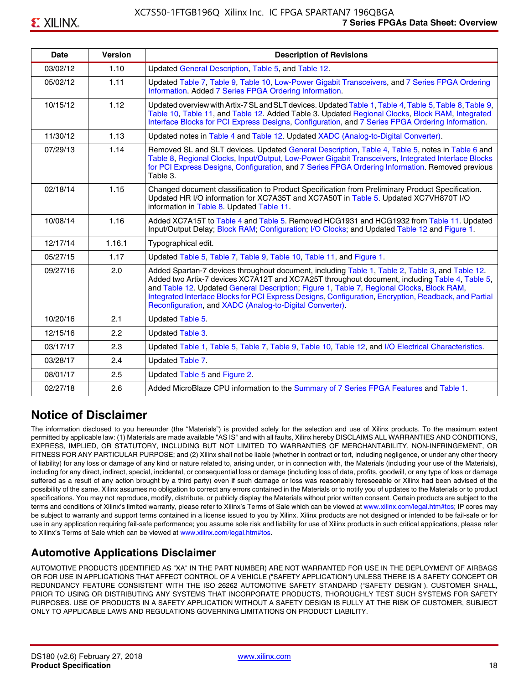| 03/02/12 | 1.10   | Updated General Description, Table 5, and Table 12.                                                                                                                                                                                                                                                                                                              |
|----------|--------|------------------------------------------------------------------------------------------------------------------------------------------------------------------------------------------------------------------------------------------------------------------------------------------------------------------------------------------------------------------|
| 05/02/12 | 1.11   | Updated Table 7, Table 9, Table 10, Low-Power Gigabit Transceivers, and 7 Series FPGA Ordering<br>Information. Added 7 Series FPGA Ordering Information.                                                                                                                                                                                                         |
| 10/15/12 | 1.12   | Updated overview with Artix-7 SL and SLT devices. Updated Table 1, Table 4, Table 5, Table 8, Table 9,<br>Table 10, Table 11, and Table 12. Added Table 3. Updated Regional Clocks, Block RAM, Integrated<br>Interface Blocks for PCI Express Designs, Configuration, and 7 Series FPGA Ordering Information.                                                    |
| 11/30/12 | 1.13   | Updated notes in Table 4 and Table 12. Updated XADC (Analog-to-Digital Converter).                                                                                                                                                                                                                                                                               |
| 07/29/13 | 1.14   | Removed SL and SLT devices. Updated General Description, Table 4, Table 5, notes in Table 6 and<br>Table 8, Regional Clocks, Input/Output, Low-Power Gigabit Transceivers, Integrated Interface Blocks<br>for PCI Express Designs, Configuration, and 7 Series FPGA Ordering Information. Removed previous<br>Table 3.                                           |
| 02/18/14 | 1.15   | Changed document classification to Product Specification from Preliminary Product Specification.<br>Updated HR I/O information for XC7A35T and XC7A50T in Table 5. Updated XC7VH870T I/O<br>information in Table 8. Updated Table 11.                                                                                                                            |
| 10/08/14 | 1.16   | Added XC7A15T to Table 4 and Table 5. Removed HCG1931 and HCG1932 from Table 11. Updated<br>Input/Output Delay; Block RAM; Configuration; I/O Clocks; and Updated Table 12 and Figure 1.                                                                                                                                                                         |
| 12/17/14 | 1.16.1 | Typographical edit.                                                                                                                                                                                                                                                                                                                                              |
| 05/27/15 | 1.17   | Updated Table 5, Table 7, Table 9, Table 10, Table 11, and Figure 1.                                                                                                                                                                                                                                                                                             |
| 09/27/16 |        | Added Spartan-7 devices throughout document, including Table 1, Table 2, Table 3, and Table 12.                                                                                                                                                                                                                                                                  |
|          | 2.0    | Added two Artix-7 devices XC7A12T and XC7A25T throughout document, including Table 4, Table 5,<br>and Table 12. Updated General Description; Figure 1, Table 7, Regional Clocks, Block RAM,<br>Integrated Interface Blocks for PCI Express Designs, Configuration, Encryption, Readback, and Partial<br>Reconfiguration, and XADC (Analog-to-Digital Converter). |
| 10/20/16 | 2.1    | Updated Table 5.                                                                                                                                                                                                                                                                                                                                                 |
| 12/15/16 | 2.2    | Updated Table 3.                                                                                                                                                                                                                                                                                                                                                 |
| 03/17/17 | 2.3    | Updated Table 1, Table 5, Table 7, Table 9, Table 10, Table 12, and I/O Electrical Characteristics.                                                                                                                                                                                                                                                              |
| 03/28/17 | 2.4    | Updated Table 7.                                                                                                                                                                                                                                                                                                                                                 |
| 08/01/17 | 2.5    | Updated Table 5 and Figure 2.                                                                                                                                                                                                                                                                                                                                    |

# **Notice of Disclaimer**

The information disclosed to you hereunder (the "Materials") is provided solely for the selection and use of Xilinx products. To the maximum extent permitted by applicable law: (1) Materials are made available "AS IS" and with all faults, Xilinx hereby DISCLAIMS ALL WARRANTIES AND CONDITIONS, EXPRESS, IMPLIED, OR STATUTORY, INCLUDING BUT NOT LIMITED TO WARRANTIES OF MERCHANTABILITY, NON-INFRINGEMENT, OR FITNESS FOR ANY PARTICULAR PURPOSE; and (2) Xilinx shall not be liable (whether in contract or tort, including negligence, or under any other theory of liability) for any loss or damage of any kind or nature related to, arising under, or in connection with, the Materials (including your use of the Materials), including for any direct, indirect, special, incidental, or consequential loss or damage (including loss of data, profits, goodwill, or any type of loss or damage suffered as a result of any action brought by a third party) even if such damage or loss was reasonably foreseeable or Xilinx had been advised of the possibility of the same. Xilinx assumes no obligation to correct any errors contained in the Materials or to notify you of updates to the Materials or to product specifications. You may not reproduce, modify, distribute, or publicly display the Materials without prior written consent. Certain products are subject to the terms and conditions of Xilinx's limited warranty, please refer to Xilinx's Terms of Sale which can be viewed at [www.xilinx.com/legal.htm#tos;](www.xilinx.com/legal.htm#tos) IP cores may be subject to warranty and support terms contained in a license issued to you by Xilinx. Xilinx products are not designed or intended to be fail-safe or for use in any application requiring fail-safe performance; you assume sole risk and liability for use of Xilinx products in such critical applications, please refer to Xilinx's Terms of Sale which can be viewed at <www.xilinx.com/legal.htm#tos>.

### **Automotive Applications Disclaimer**

AUTOMOTIVE PRODUCTS (IDENTIFIED AS "XA" IN THE PART NUMBER) ARE NOT WARRANTED FOR USE IN THE DEPLOYMENT OF AIRBAGS OR FOR USE IN APPLICATIONS THAT AFFECT CONTROL OF A VEHICLE ("SAFETY APPLICATION") UNLESS THERE IS A SAFETY CONCEPT OR REDUNDANCY FEATURE CONSISTENT WITH THE ISO 26262 AUTOMOTIVE SAFETY STANDARD ("SAFETY DESIGN"). CUSTOMER SHALL, PRIOR TO USING OR DISTRIBUTING ANY SYSTEMS THAT INCORPORATE PRODUCTS, THOROUGHLY TEST SUCH SYSTEMS FOR SAFETY PURPOSES. USE OF PRODUCTS IN A SAFETY APPLICATION WITHOUT A SAFETY DESIGN IS FULLY AT THE RISK OF CUSTOMER, SUBJECT ONLY TO APPLICABLE LAWS AND REGULATIONS GOVERNING LIMITATIONS ON PRODUCT LIABILITY.